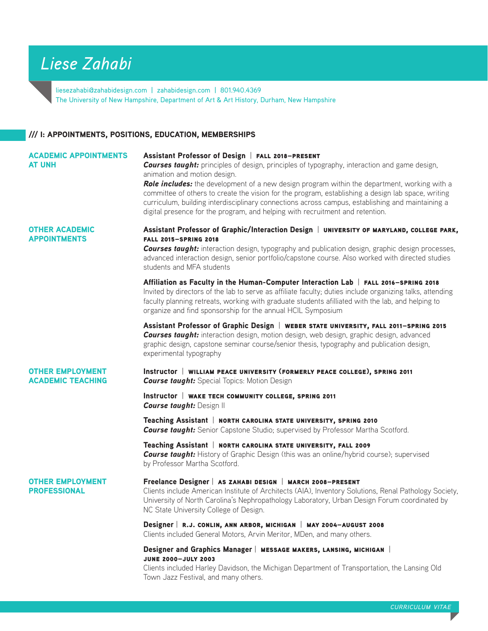# *Liese Zahabi*

liesezahabi@zahabidesign.com | zahabidesign.com | 801.940.4369 The University of New Hampshire, Department of Art & Art History, Durham, New Hampshire

## /// I: APPOINTMENTS, POSITIONS, EDUCATION, MEMBERSHIPS

| <b>ACADEMIC APPOINTMENTS</b><br><b>AT UNH</b>       | Assistant Professor of Design   FALL 2018-PRESENT<br><b>Courses taught:</b> principles of design, principles of typography, interaction and game design,<br>animation and motion design.<br>Role includes: the development of a new design program within the department, working with a<br>committee of others to create the vision for the program, establishing a design lab space, writing<br>curriculum, building interdisciplinary connections across campus, establishing and maintaining a<br>digital presence for the program, and helping with recruitment and retention. |
|-----------------------------------------------------|-------------------------------------------------------------------------------------------------------------------------------------------------------------------------------------------------------------------------------------------------------------------------------------------------------------------------------------------------------------------------------------------------------------------------------------------------------------------------------------------------------------------------------------------------------------------------------------|
| <b>OTHER ACADEMIC</b><br><b>APPOINTMENTS</b>        | Assistant Professor of Graphic/Interaction Design   UNIVERSITY OF MARYLAND, COLLEGE PARK,<br><b>FALL 2015-SPRING 2018</b><br><b>Courses taught:</b> interaction design, typography and publication design, graphic design processes,<br>advanced interaction design, senior portfolio/capstone course. Also worked with directed studies<br>students and MFA students                                                                                                                                                                                                               |
|                                                     | Affiliation as Faculty in the Human-Computer Interaction Lab   FALL 2016-SPRING 2018<br>Invited by directors of the lab to serve as affiliate faculty; duties include organizing talks, attending<br>faculty planning retreats, working with graduate students afilliated with the lab, and helping to<br>organize and find sponsorship for the annual HCIL Symposium                                                                                                                                                                                                               |
|                                                     | Assistant Professor of Graphic Design   WEBER STATE UNIVERSITY, FALL 2011-SPRING 2015<br><b>Courses taught:</b> interaction design, motion design, web design, graphic design, advanced<br>graphic design, capstone seminar course/senior thesis, typography and publication design,<br>experimental typography                                                                                                                                                                                                                                                                     |
| <b>OTHER EMPLOYMENT</b><br><b>ACADEMIC TEACHING</b> | Instructor   WILLIAM PEACE UNIVERSITY (FORMERLY PEACE COLLEGE), SPRING 2011<br><b>Course taught:</b> Special Topics: Motion Design                                                                                                                                                                                                                                                                                                                                                                                                                                                  |
|                                                     | Instructor   WAKE TECH COMMUNITY COLLEGE, SPRING 2011<br><b>Course taught: Design II</b>                                                                                                                                                                                                                                                                                                                                                                                                                                                                                            |
|                                                     | Teaching Assistant   NORTH CAROLINA STATE UNIVERSITY, SPRING 2010<br><b>Course taught:</b> Senior Capstone Studio; supervised by Professor Martha Scotford.                                                                                                                                                                                                                                                                                                                                                                                                                         |
|                                                     | Teaching Assistant   NORTH CAROLINA STATE UNIVERSITY, FALL 2009<br><b>Course taught:</b> History of Graphic Design (this was an online/hybrid course); supervised<br>by Professor Martha Scotford.                                                                                                                                                                                                                                                                                                                                                                                  |
| <b>OTHER EMPLOYMENT</b><br><b>PROFESSIONAL</b>      | Freelance Designer   AS ZAHABI DESIGN   MARCH 2008-PRESENT<br>Clients include American Institute of Architects (AIA), Inventory Solutions, Renal Pathology Society,<br>University of North Carolina's Nephropathology Laboratory, Urban Design Forum coordinated by<br>NC State University College of Design.                                                                                                                                                                                                                                                                       |
|                                                     | Designer   R.J. CONLIN, ANN ARBOR, MICHIGAN   MAY 2004-AUGUST 2008<br>Clients included General Motors, Arvin Meritor, MDen, and many others.                                                                                                                                                                                                                                                                                                                                                                                                                                        |
|                                                     | Designer and Graphics Manager   MESSAGE MAKERS, LANSING, MICHIGAN  <br><b>JUNE 2000-JULY 2003</b><br>Clients included Harley Davidson, the Michigan Department of Transportation, the Lansing Old<br>Town Jazz Festival, and many others.                                                                                                                                                                                                                                                                                                                                           |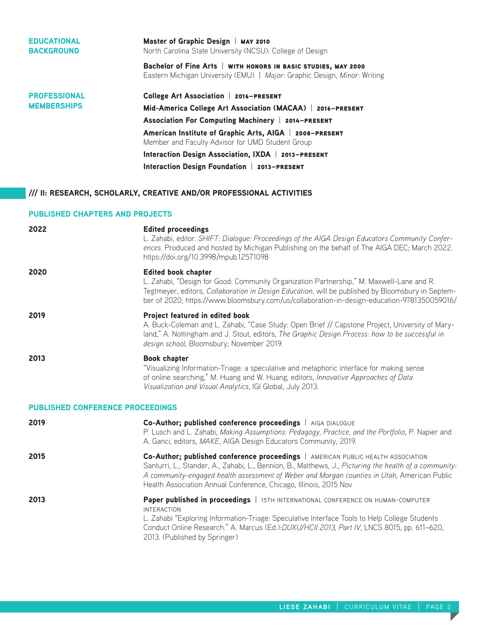| <b>EDUCATIONAL</b><br><b>BACKGROUND</b> | Master of Graphic Design   MAY 2010<br>North Carolina State University (NCSU): College of Design                                            |
|-----------------------------------------|---------------------------------------------------------------------------------------------------------------------------------------------|
|                                         | Bachelor of Fine Arts   WITH HONORS IN BASIC STUDIES, MAY 2000<br>Eastern Michigan University (EMU)   Major: Graphic Design, Minor: Writing |
| <b>PROFESSIONAL</b>                     | <b>College Art Association   2016-PRESENT</b>                                                                                               |
| <b>MEMBERSHIPS</b>                      | Mid-America College Art Association (MACAA)   2016-PRESENT                                                                                  |
|                                         | <b>Association For Computing Machinery   2014-PRESENT</b>                                                                                   |
|                                         | American Institute of Graphic Arts, AIGA   2008-PRESENT<br>Member and Faculty Advisor for UMD Student Group                                 |
|                                         | Interaction Design Association, IXDA   2013-PRESENT                                                                                         |
|                                         | Interaction Design Foundation   2013-PRESENT                                                                                                |

# /// II: RESEARCH, SCHOLARLY, CREATIVE AND/OR PROFESSIONAL ACTIVITIES

## PUBLISHED CHAPTERS AND PROJECTS

| 2022                                    | <b>Edited proceedings</b><br>L. Zahabi, editor. SHIFT: Dialoque: Proceedings of the AIGA Design Educators Community Confer-<br>ences. Produced and hosted by Michigan Publishing on the behalf of The AIGA DEC; March 2022.<br>https://doi.org/10.3998/mpub.12571098                                                                                           |
|-----------------------------------------|----------------------------------------------------------------------------------------------------------------------------------------------------------------------------------------------------------------------------------------------------------------------------------------------------------------------------------------------------------------|
| 2020                                    | <b>Edited book chapter</b><br>L. Zahabi, "Design for Good: Community Organization Partnership," M. Maxwell-Lane and R.<br>Tegtmeyer, editors, Collaboration in Design Education, will be published by Bloomsbury in Septem-<br>ber of 2020; https://www.bloomsbury.com/us/collaboration-in-design-education-9781350059016/                                     |
| 2019                                    | Project featured in edited book<br>A. Buck-Coleman and L. Zahabi, "Case Study: Open Brief // Capstone Project, University of Mary-<br>land," A. Nottingham and J. Stout, editors, The Graphic Design Process: how to be successful in<br>design school, Bloomsbury; November 2019.                                                                             |
| 2013                                    | <b>Book chapter</b><br>"Visualizing Information-Triage: a speculative and metaphoric interface for making sense<br>of online searching," M. Huang and W. Huang, editors, Innovative Approaches of Data<br>Visualization and Visual Analytics, IGI Global, July 2013.                                                                                           |
| <b>PUBLISHED CONFERENCE PROCEEDINGS</b> |                                                                                                                                                                                                                                                                                                                                                                |
| 2019                                    | Co-Author; published conference proceedings   AIGA DIALOGUE<br>P. Lusch and L. Zahabi, Making Assumptions: Pedagogy, Practice, and the Portfolio, P. Napier and<br>A. Ganci, editors, MAKE, AIGA Design Educators Community, 2019.                                                                                                                             |
| 2015                                    | Co-Author; published conference proceedings   AMERICAN PUBLIC HEALTH ASSOCIATION<br>Santurri, L., Stander, A., Zahabi, L., Bennion, B., Matthews, J., Picturing the health of a community:<br>A community-engaged health assessment of Weber and Morgan counties in Utah, American Public<br>Health Association Annual Conference, Chicago, Illinois, 2015 Nov |
| 2013                                    | Paper published in proceedings   15TH INTERNATIONAL CONFERENCE ON HUMAN-COMPUTER<br><b>INTERACTION</b><br>L. Zahabi "Exploring Information-Triage: Speculative Interface Tools to Help College Students<br>Conduct Online Research." A. Marcus (Ed.): DUXU/HCII 2013, Part IV, LNCS 8015, pp. 611-620,<br>2013. (Published by Springer)                        |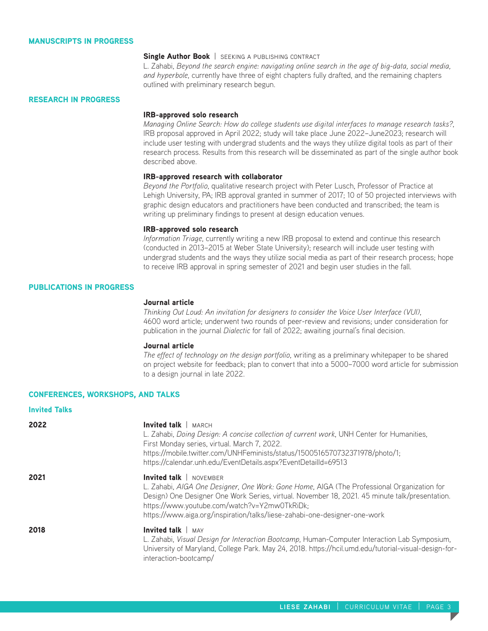#### MANUSCRIPTS IN PROGRESS

#### Single Author Book | SEEKING A PUBLISHING CONTRACT

L. Zahabi, *Beyond the search engine: navigating online search in the age of big-data, social media, and hyperbole*, currently have three of eight chapters fully drafted, and the remaining chapters outlined with preliminary research begun.

#### RESEARCH IN PROGRESS

#### IRB-approved solo research

*Managing Online Search: How do college students use digital interfaces to manage research tasks?*, IRB proposal approved in April 2022; study will take place June 2022–June2023; research will include user testing with undergrad students and the ways they utilize digital tools as part of their research process. Results from this research will be disseminated as part of the single author book described above.

#### IRB-approved research with collaborator

*Beyond the Portfolio*, qualitative research project with Peter Lusch, Professor of Practice at Lehigh University, PA; IRB approval granted in summer of 2017; 10 of 50 projected interviews with graphic design educators and practitioners have been conducted and transcribed; the team is writing up preliminary findings to present at design education venues.

#### IRB-approved solo research

*Information Triage*, currently writing a new IRB proposal to extend and continue this research (conducted in 2013–2015 at Weber State University); research will include user testing with undergrad students and the ways they utilize social media as part of their research process; hope to receive IRB approval in spring semester of 2021 and begin user studies in the fall.

#### PUBLICATIONS IN PROGRESS

#### Journal article

*Thinking Out Loud: An invitation for designers to consider the Voice User Interface (VUI)*, 4600 word article; underwent two rounds of peer-review and revisions; under consideration for publication in the journal *Dialectic* for fall of 2022; awaiting journal's final decision.

#### Journal article

*The effect of technology on the design portfolio*, writing as a preliminary whitepaper to be shared on project website for feedback; plan to convert that into a 5000–7000 word article for submission to a design journal in late 2022.

#### CONFERENCES, WORKSHOPS, AND TALKS

| <b>Invited Talks</b> |                                                                                                                                                                                                                                                                                                                                                             |
|----------------------|-------------------------------------------------------------------------------------------------------------------------------------------------------------------------------------------------------------------------------------------------------------------------------------------------------------------------------------------------------------|
| 2022                 | Invited talk   MARCH<br>L. Zahabi, Doing Design: A concise collection of current work, UNH Center for Humanities,<br>First Monday series, virtual. March 7, 2022.<br>https://mobile.twitter.com/UNHFeminists/status/1500516570732371978/photo/1;<br>https://calendar.unh.edu/EventDetails.aspx?EventDetailld=69513                                          |
| 2021                 | <b>Invited talk</b>   NOVEMBER<br>L. Zahabi, AIGA One Designer, One Work: Gone Home, AIGA (The Professional Organization for<br>Design) One Designer One Work Series, virtual. November 18, 2021. 45 minute talk/presentation.<br>https://www.youtube.com/watch?v=Y2mw0TkRiDk;<br>https://www.aiga.org/inspiration/talks/liese-zahabi-one-designer-one-work |
| 2018                 | Invited talk $ $ MAY<br>L. Zahabi, Visual Design for Interaction Bootcamp, Human-Computer Interaction Lab Symposium,<br>University of Maryland, College Park. May 24, 2018. https://hcil.umd.edu/tutorial-visual-design-for-<br>interaction-bootcamp/                                                                                                       |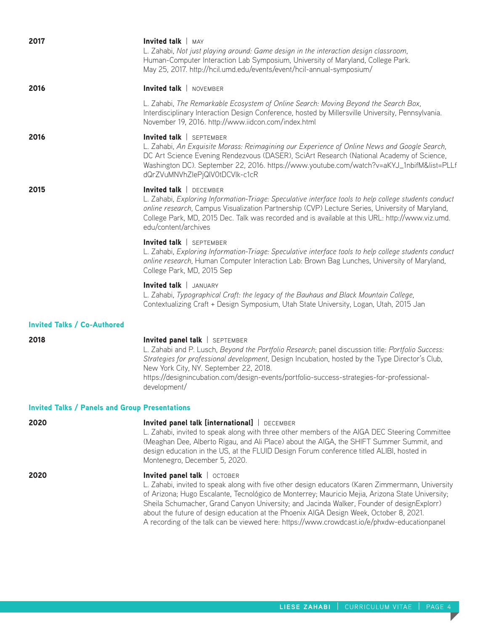| 2017                               | Invited talk $ $ MAY<br>L. Zahabi, Not just playing around: Game design in the interaction design classroom,<br>Human-Computer Interaction Lab Symposium, University of Maryland, College Park.<br>May 25, 2017. http://hcil.umd.edu/events/event/hcil-annual-symposium/                                                                                                                                                                                                                                                  |  |  |
|------------------------------------|---------------------------------------------------------------------------------------------------------------------------------------------------------------------------------------------------------------------------------------------------------------------------------------------------------------------------------------------------------------------------------------------------------------------------------------------------------------------------------------------------------------------------|--|--|
| 2016                               | Invited talk   NOVEMBER                                                                                                                                                                                                                                                                                                                                                                                                                                                                                                   |  |  |
|                                    | L. Zahabi, The Remarkable Ecosystem of Online Search: Moving Beyond the Search Box,<br>Interdisciplinary Interaction Design Conference, hosted by Millersville University, Pennsylvania.<br>November 19, 2016. http://www.iidcon.com/index.html                                                                                                                                                                                                                                                                           |  |  |
| 2016                               | Invited talk   SEPTEMBER<br>L. Zahabi, An Exquisite Morass: Reimagining our Experience of Online News and Google Search,<br>DC Art Science Evening Rendezvous (DASER), SciArt Research (National Academy of Science,<br>Washington DC). September 22, 2016. https://www.youtube.com/watch?v=aKYJ_1nbifM&list=PLLf<br>dQrZVuMNVhZlePjQlV0tDCVlk-c1cR                                                                                                                                                                       |  |  |
| 2015                               | Invited talk   DECEMBER<br>L. Zahabi, Exploring Information-Triage: Speculative interface tools to help college students conduct<br>online research, Campus Visualization Partnership (CVP) Lecture Series, University of Maryland,<br>College Park, MD, 2015 Dec. Talk was recorded and is available at this URL: http://www.viz.umd.<br>edu/content/archives                                                                                                                                                            |  |  |
|                                    | Invited talk   SEPTEMBER<br>L. Zahabi, Exploring Information-Triage: Speculative interface tools to help college students conduct<br>online research, Human Computer Interaction Lab: Brown Bag Lunches, University of Maryland,<br>College Park, MD, 2015 Sep                                                                                                                                                                                                                                                            |  |  |
|                                    | Invited talk   JANUARY<br>L. Zahabi, Typographical Craft: the legacy of the Bauhaus and Black Mountain College,<br>Contextualizing Craft + Design Symposium, Utah State University, Logan, Utah, 2015 Jan                                                                                                                                                                                                                                                                                                                 |  |  |
| <b>Invited Talks / Co-Authored</b> |                                                                                                                                                                                                                                                                                                                                                                                                                                                                                                                           |  |  |
| 2018                               | Invited panel talk   SEPTEMBER<br>L. Zahabi and P. Lusch, Beyond the Portfolio Research; panel discussion title: Portfolio Success:<br>Strategies for professional development, Design Incubation, hosted by the Type Director's Club,<br>New York City, NY. September 22, 2018.<br>https://designincubation.com/design-events/portfolio-success-strategies-for-professional-<br>development/                                                                                                                             |  |  |
|                                    | <b>Invited Talks / Panels and Group Presentations</b>                                                                                                                                                                                                                                                                                                                                                                                                                                                                     |  |  |
| 2020                               | Invited panel talk [international]   DECEMBER<br>L. Zahabi, invited to speak along with three other members of the AIGA DEC Steering Committee<br>(Meaghan Dee, Alberto Rigau, and Ali Place) about the AIGA, the SHIFT Summer Summit, and<br>design education in the US, at the FLUID Design Forum conference titled ALIBI, hosted in<br>Montenegro, December 5, 2020.                                                                                                                                                   |  |  |
| 2020                               | Invited panel talk   OCTOBER<br>L. Zahabi, invited to speak along with five other design educators (Karen Zimmermann, University<br>of Arizona; Hugo Escalante, Tecnológico de Monterrey; Mauricio Mejia, Arizona State University;<br>Sheila Schumacher, Grand Canyon University; and Jacinda Walker, Founder of designExplorr)<br>about the future of design education at the Phoenix AIGA Design Week, October 8, 2021.<br>A recording of the talk can be viewed here: https://www.crowdcast.io/e/phxdw-educationpanel |  |  |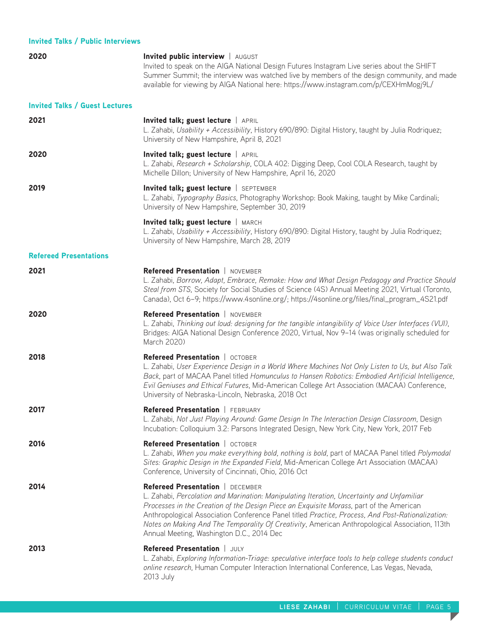| <b>Invited Talks / Public Interviews</b> |                                                                                                                                                                                                                                                                                                                                                                                                                                                                             |
|------------------------------------------|-----------------------------------------------------------------------------------------------------------------------------------------------------------------------------------------------------------------------------------------------------------------------------------------------------------------------------------------------------------------------------------------------------------------------------------------------------------------------------|
| 2020                                     | Invited public interview   AUGUST<br>Invited to speak on the AIGA National Design Futures Instagram Live series about the SHIFT<br>Summer Summit; the interview was watched live by members of the design community, and made<br>available for viewing by AIGA National here: https://www.instagram.com/p/CEXHmMogj9L/                                                                                                                                                      |
| <b>Invited Talks / Guest Lectures</b>    |                                                                                                                                                                                                                                                                                                                                                                                                                                                                             |
| 2021                                     | Invited talk; guest lecture   APRIL<br>L. Zahabi, Usability + Accessibility, History 690/890: Digital History, taught by Julia Rodriquez;<br>University of New Hampshire, April 8, 2021                                                                                                                                                                                                                                                                                     |
| 2020                                     | Invited talk; guest lecture   APRIL<br>L. Zahabi, Research + Scholarship, COLA 402: Digging Deep, Cool COLA Research, taught by<br>Michelle Dillon; University of New Hampshire, April 16, 2020                                                                                                                                                                                                                                                                             |
| 2019                                     | Invited talk; guest lecture   SEPTEMBER<br>L. Zahabi, Typography Basics, Photography Workshop: Book Making, taught by Mike Cardinali;<br>University of New Hampshire, September 30, 2019                                                                                                                                                                                                                                                                                    |
|                                          | Invited talk; guest lecture   MARCH<br>L. Zahabi, Usability + Accessibility, History 690/890: Digital History, taught by Julia Rodriquez;<br>University of New Hampshire, March 28, 2019                                                                                                                                                                                                                                                                                    |
| <b>Refereed Presentations</b>            |                                                                                                                                                                                                                                                                                                                                                                                                                                                                             |
| 2021                                     | Refereed Presentation   NOVEMBER<br>L. Zahabi, Borrow, Adapt, Embrace, Remake: How and What Design Pedagogy and Practice Should<br>Steal from STS, Society for Social Studies of Science (4S) Annual Meeting 2021, Virtual (Toronto,<br>Canada), Oct 6-9; https://www.4sonline.org/; https://4sonline.org/files/final_program_4S21.pdf                                                                                                                                      |
| 2020                                     | Refereed Presentation   NOVEMBER<br>L. Zahabi, Thinking out loud: designing for the tangible intangibility of Voice User Interfaces (VUI),<br>Bridges: AIGA National Design Conference 2020, Virtual, Nov 9-14 (was originally scheduled for<br>March 2020)                                                                                                                                                                                                                 |
| 2018                                     | Refereed Presentation   OCTOBER<br>L. Zahabi, User Experience Design in a World Where Machines Not Only Listen to Us, but Also Talk<br>Back, part of MACAA Panel titled Homunculus to Hansen Robotics: Embodied Artificial Intelligence,<br>Evil Geniuses and Ethical Futures, Mid-American College Art Association (MACAA) Conference,<br>University of Nebraska-Lincoln, Nebraska, 2018 Oct                                                                               |
| 2017                                     | Refereed Presentation   FEBRUARY<br>L. Zahabi, Not Just Playing Around: Game Design In The Interaction Design Classroom, Design<br>Incubation: Colloquium 3.2: Parsons Integrated Design, New York City, New York, 2017 Feb                                                                                                                                                                                                                                                 |
| 2016                                     | Refereed Presentation   OCTOBER<br>L. Zahabi, When you make everything bold, nothing is bold, part of MACAA Panel titled Polymodal<br>Sites: Graphic Design in the Expanded Field, Mid-American College Art Association (MACAA)<br>Conference, University of Cincinnati, Ohio, 2016 Oct                                                                                                                                                                                     |
| 2014                                     | Refereed Presentation   DECEMBER<br>L. Zahabi, Percolation and Marination: Manipulating Iteration, Uncertainty and Unfamiliar<br>Processes in the Creation of the Design Piece an Exquisite Morass, part of the American<br>Anthropological Association Conference Panel titled Practice, Process, And Post-Rationalization:<br>Notes on Making And The Temporality Of Creativity, American Anthropological Association, 113th<br>Annual Meeting, Washington D.C., 2014 Dec |
| 2013                                     | Refereed Presentation   JULY<br>L. Zahabi, Exploring Information-Triage: speculative interface tools to help college students conduct<br>online research, Human Computer Interaction International Conference, Las Vegas, Nevada,<br>2013 July                                                                                                                                                                                                                              |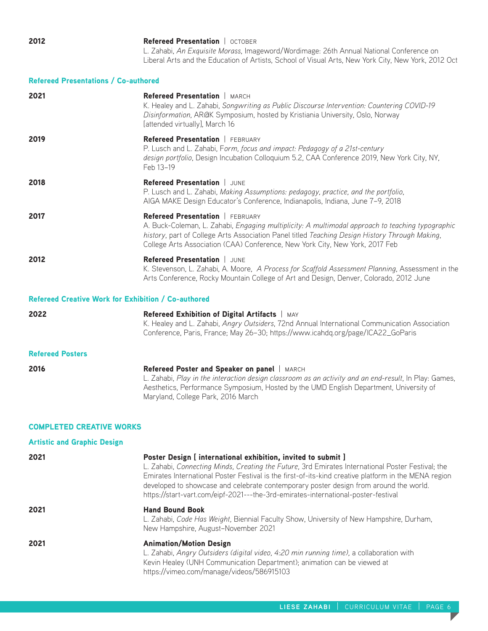**2012 Refereed Presentation** | OCTOBER L. Zahabi, *An Exquisite Morass*, Imageword/Wordimage: 26th Annual National Conference on Liberal Arts and the Education of Artists, School of Visual Arts, New York City, New York, 2012 Oct

## Refereed Presentations / Co-authored

| 2021                                                       | <b>Refereed Presentation   MARCH</b><br>K. Healey and L. Zahabi, Songwriting as Public Discourse Intervention: Countering COVID-19<br>Disinformation, AR@K Symposium, hosted by Kristiania University, Oslo, Norway<br>[attended virtually], March 16                                                                         |  |
|------------------------------------------------------------|-------------------------------------------------------------------------------------------------------------------------------------------------------------------------------------------------------------------------------------------------------------------------------------------------------------------------------|--|
| 2019                                                       | Refereed Presentation   FEBRUARY<br>P. Lusch and L. Zahabi, Form, focus and impact: Pedagogy of a 21st-century<br>design portfolio, Design Incubation Colloquium 5.2, CAA Conference 2019, New York City, NY,<br>Feb 13-19                                                                                                    |  |
| 2018                                                       | Refereed Presentation   JUNE<br>P. Lusch and L. Zahabi, Making Assumptions: pedagogy, practice, and the portfolio,<br>AIGA MAKE Design Educator's Conference, Indianapolis, Indiana, June 7-9, 2018                                                                                                                           |  |
| 2017                                                       | <b>Refereed Presentation</b>   FEBRUARY<br>A. Buck-Coleman, L. Zahabi, Engaging multiplicity: A multimodal approach to teaching typographic<br>history, part of College Arts Association Panel titled Teaching Design History Through Making,<br>College Arts Association (CAA) Conference, New York City, New York, 2017 Feb |  |
| 2012                                                       | Refereed Presentation   JUNE<br>K. Stevenson, L. Zahabi, A. Moore, A Process for Scaffold Assessment Planning, Assessment in the<br>Arts Conference, Rocky Mountain College of Art and Design, Denver, Colorado, 2012 June                                                                                                    |  |
| <b>Refereed Creative Work for Exhibition / Co-authored</b> |                                                                                                                                                                                                                                                                                                                               |  |
| 2022                                                       | Refereed Exhibition of Digital Artifacts   MAY<br>K. Healey and L. Zahabi, Angry Outsiders, 72nd Annual International Communication Association<br>Conference, Paris, France; May 26-30; https://www.icahdg.org/page/ICA22_GoParis                                                                                            |  |
| <b>Refereed Posters</b>                                    |                                                                                                                                                                                                                                                                                                                               |  |
| 2016                                                       | Refereed Poster and Speaker on panel   MARCH<br>L. Zahabi, Play in the interaction design classroom as an activity and an end-result, In Play: Games,<br>Aesthetics, Performance Symposium, Hosted by the UMD English Department, University of<br>Maryland, College Park, 2016 March                                         |  |

## COMPLETED CREATIVE WORKS

| <b>Artistic and Graphic Design</b> |                                                                                                                                                                                                                                                                                                                                                                                                                                                          |
|------------------------------------|----------------------------------------------------------------------------------------------------------------------------------------------------------------------------------------------------------------------------------------------------------------------------------------------------------------------------------------------------------------------------------------------------------------------------------------------------------|
| 2021                               | Poster Design [ international exhibition, invited to submit ]<br>L. Zahabi, Connecting Minds, Creating the Future, 3rd Emirates International Poster Festival; the<br>Emirates International Poster Festival is the first-of-its-kind creative platform in the MENA region<br>developed to showcase and celebrate contemporary poster design from around the world.<br>https://start-vart.com/eipf-2021---the-3rd-emirates-international-poster-festival |
| 2021                               | <b>Hand Bound Book</b><br>L. Zahabi, Code Has Weight, Biennial Faculty Show, University of New Hampshire, Durham,<br>New Hampshire, August-November 2021                                                                                                                                                                                                                                                                                                 |
| 2021                               | <b>Animation/Motion Design</b><br>L. Zahabi, Angry Outsiders (digital video, 4:20 min running time), a collaboration with<br>Kevin Healey (UNH Communication Department); animation can be viewed at<br>https://vimeo.com/manage/videos/586915103                                                                                                                                                                                                        |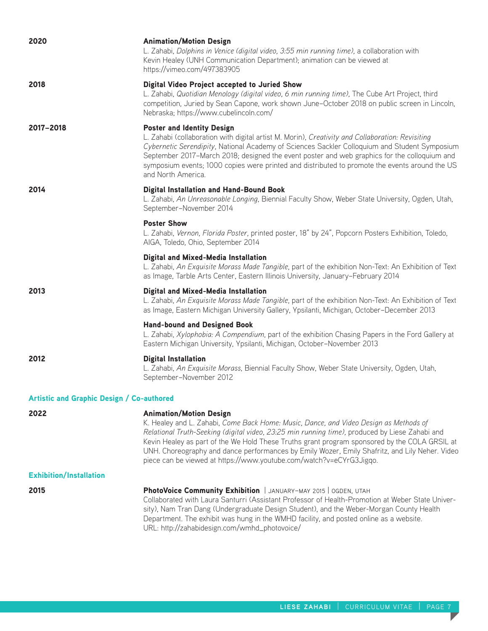| 2020                                             | <b>Animation/Motion Design</b><br>L. Zahabi, Dolphins in Venice (digital video, 3:55 min running time), a collaboration with<br>Kevin Healey (UNH Communication Department); animation can be viewed at<br>https://vimeo.com/497383905                                                                                                                                                                                                                                                              |
|--------------------------------------------------|-----------------------------------------------------------------------------------------------------------------------------------------------------------------------------------------------------------------------------------------------------------------------------------------------------------------------------------------------------------------------------------------------------------------------------------------------------------------------------------------------------|
| 2018                                             | Digital Video Project accepted to Juried Show<br>L. Zahabi, Quotidian Menology (digital video, 6 min running time), The Cube Art Project, third<br>competition, Juried by Sean Capone, work shown June-October 2018 on public screen in Lincoln,<br>Nebraska; https://www.cubelincoln.com/                                                                                                                                                                                                          |
| 2017-2018                                        | <b>Poster and Identity Design</b><br>L. Zahabi (collaboration with digital artist M. Morin), Creativity and Collaboration: Revisiting<br>Cybernetic Serendipity, National Academy of Sciences Sackler Colloquium and Student Symposium<br>September 2017-March 2018; designed the event poster and web graphics for the colloquium and<br>symposium events; 1000 copies were printed and distributed to promote the events around the US<br>and North America.                                      |
| 2014                                             | <b>Digital Installation and Hand-Bound Book</b><br>L. Zahabi, An Unreasonable Longing, Biennial Faculty Show, Weber State University, Ogden, Utah,<br>September-November 2014                                                                                                                                                                                                                                                                                                                       |
|                                                  | <b>Poster Show</b><br>L. Zahabi, Vernon, Florida Poster, printed poster, 18" by 24", Popcorn Posters Exhibition, Toledo,<br>AIGA, Toledo, Ohio, September 2014                                                                                                                                                                                                                                                                                                                                      |
|                                                  | Digital and Mixed-Media Installation<br>L. Zahabi, An Exquisite Morass Made Tangible, part of the exhibition Non-Text: An Exhibition of Text<br>as Image, Tarble Arts Center, Eastern Illinois University, January-February 2014                                                                                                                                                                                                                                                                    |
| 2013                                             | Digital and Mixed-Media Installation<br>L. Zahabi, An Exquisite Morass Made Tangible, part of the exhibition Non-Text: An Exhibition of Text<br>as Image, Eastern Michigan University Gallery, Ypsilanti, Michigan, October-December 2013                                                                                                                                                                                                                                                           |
|                                                  | <b>Hand-bound and Designed Book</b><br>L. Zahabi, Xylophobia: A Compendium, part of the exhibition Chasing Papers in the Ford Gallery at<br>Eastern Michigan University, Ypsilanti, Michigan, October-November 2013                                                                                                                                                                                                                                                                                 |
| 2012                                             | <b>Digital Installation</b><br>L. Zahabi, An Exquisite Morass, Biennial Faculty Show, Weber State University, Ogden, Utah,<br>September-November 2012                                                                                                                                                                                                                                                                                                                                               |
| <b>Artistic and Graphic Design / Co-authored</b> |                                                                                                                                                                                                                                                                                                                                                                                                                                                                                                     |
| 2022                                             | <b>Animation/Motion Design</b><br>K. Healey and L. Zahabi, Come Back Home: Music, Dance, and Video Design as Methods of<br>Relational Truth-Seeking (digital video, 23:25 min running time), produced by Liese Zahabi and<br>Kevin Healey as part of the We Hold These Truths grant program sponsored by the COLA GRSIL at<br>UNH. Choreography and dance performances by Emily Wozer, Emily Shafritz, and Lily Neher. Video<br>piece can be viewed at https://www.youtube.com/watch?v=eCYrG3Jigqo. |
| <b>Exhibition/Installation</b>                   |                                                                                                                                                                                                                                                                                                                                                                                                                                                                                                     |
| 2015                                             | PhotoVoice Community Exhibition   JANUARY-MAY 2015   OGDEN, UTAH<br>Collaborated with Laura Santurri (Assistant Professor of Health-Promotion at Weber State Univer-<br>sity), Nam Tran Dang (Undergraduate Design Student), and the Weber-Morgan County Health<br>Department. The exhibit was hung in the WMHD facility, and posted online as a website.<br>URL: http://zahabidesign.com/wmhd_photovoice/                                                                                          |

T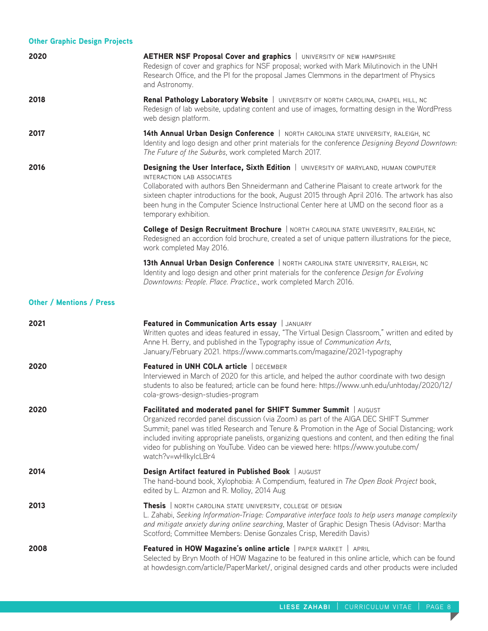| <b>Other Graphic Design Projects</b> |                                                                                                                                                                                                                                                                                                                                                                                                                                                                                  |
|--------------------------------------|----------------------------------------------------------------------------------------------------------------------------------------------------------------------------------------------------------------------------------------------------------------------------------------------------------------------------------------------------------------------------------------------------------------------------------------------------------------------------------|
| 2020                                 | <b>AETHER NSF Proposal Cover and graphics</b>   UNIVERSITY OF NEW HAMPSHIRE<br>Redesign of cover and graphics for NSF proposal; worked with Mark Milutinovich in the UNH<br>Research Office, and the PI for the proposal James Clemmons in the department of Physics<br>and Astronomy.                                                                                                                                                                                           |
| 2018                                 | Renal Pathology Laboratory Website   UNIVERSITY OF NORTH CAROLINA, CHAPEL HILL, NC<br>Redesign of lab website, updating content and use of images, formatting design in the WordPress<br>web design platform.                                                                                                                                                                                                                                                                    |
| 2017                                 | 14th Annual Urban Design Conference   NORTH CAROLINA STATE UNIVERSITY, RALEIGH, NC<br>Identity and logo design and other print materials for the conference Designing Beyond Downtown:<br>The Future of the Suburbs, work completed March 2017.                                                                                                                                                                                                                                  |
| 2016                                 | Designing the User Interface, Sixth Edition   UNIVERSITY OF MARYLAND, HUMAN COMPUTER<br>INTERACTION LAB ASSOCIATES<br>Collaborated with authors Ben Shneidermann and Catherine Plaisant to create artwork for the<br>sixteen chapter introductions for the book, August 2015 through April 2016. The artwork has also<br>been hung in the Computer Science Instructional Center here at UMD on the second floor as a<br>temporary exhibition.                                    |
|                                      | College of Design Recruitment Brochure   NORTH CAROLINA STATE UNIVERSITY, RALEIGH, NC<br>Redesigned an accordion fold brochure, created a set of unique pattern illustrations for the piece,<br>work completed May 2016.                                                                                                                                                                                                                                                         |
|                                      | 13th Annual Urban Design Conference   NORTH CAROLINA STATE UNIVERSITY, RALEIGH, NC<br>Identity and logo design and other print materials for the conference Design for Evolving<br>Downtowns: People. Place. Practice., work completed March 2016.                                                                                                                                                                                                                               |
| <b>Other / Mentions / Press</b>      |                                                                                                                                                                                                                                                                                                                                                                                                                                                                                  |
| 2021                                 | Featured in Communication Arts essay   JANUARY<br>Written quotes and ideas featured in essay, "The Virtual Design Classroom," written and edited by<br>Anne H. Berry, and published in the Typography issue of Communication Arts,<br>January/February 2021. https://www.commarts.com/magazine/2021-typography                                                                                                                                                                   |
| 2020                                 | Featured in UNH COLA article   DECEMBER<br>Interviewed in March of 2020 for this article, and helped the author coordinate with two design<br>students to also be featured; article can be found here: https://www.unh.edu/unhtoday/2020/12/<br>cola-grows-design-studies-program                                                                                                                                                                                                |
| 2020                                 | Facilitated and moderated panel for SHIFT Summer Summit   AUGUST<br>Organized recorded panel discussion (via Zoom) as part of the AIGA DEC SHIFT Summer<br>Summit; panel was titled Research and Tenure & Promotion in the Age of Social Distancing; work<br>included inviting appropriate panelists, organizing questions and content, and then editing the final<br>video for publishing on YouTube. Video can be viewed here: https://www.youtube.com/<br>watch?v=wHlkylcLBr4 |
| 2014                                 | Design Artifact featured in Published Book   AUGUST<br>The hand-bound book, Xylophobia: A Compendium, featured in The Open Book Project book,<br>edited by L. Atzmon and R. Molloy, 2014 Aug                                                                                                                                                                                                                                                                                     |
| 2013                                 | Thesis   NORTH CAROLINA STATE UNIVERSITY, COLLEGE OF DESIGN<br>L. Zahabi, Seeking Information-Triage: Comparative interface tools to help users manage complexity<br>and mitigate anxiety during online searching, Master of Graphic Design Thesis (Advisor: Martha<br>Scotford; Committee Members: Denise Gonzales Crisp, Meredith Davis)                                                                                                                                       |
| 2008                                 | Featured in HOW Magazine's online article   PAPER MARKET   APRIL<br>Selected by Bryn Mooth of HOW Magazine to be featured in this online article, which can be found<br>at howdesign.com/article/PaperMarket/, original designed cards and other products were included                                                                                                                                                                                                          |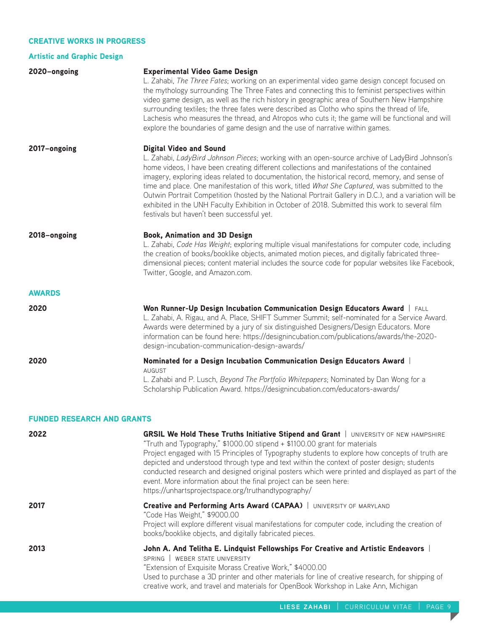## CREATIVE WORKS IN PROGRESS

# Artistic and Graphic Design

| 2020-ongoing  | <b>Experimental Video Game Design</b><br>L. Zahabi, The Three Fates; working on an experimental video game design concept focused on<br>the mythology surrounding The Three Fates and connecting this to feminist perspectives within<br>video game design, as well as the rich history in geographic area of Southern New Hampshire<br>surrounding textiles; the three fates were described as Clotho who spins the thread of life,<br>Lachesis who measures the thread, and Atropos who cuts it; the game will be functional and will<br>explore the boundaries of game design and the use of narrative within games.                                                                       |
|---------------|-----------------------------------------------------------------------------------------------------------------------------------------------------------------------------------------------------------------------------------------------------------------------------------------------------------------------------------------------------------------------------------------------------------------------------------------------------------------------------------------------------------------------------------------------------------------------------------------------------------------------------------------------------------------------------------------------|
| 2017-ongoing  | <b>Digital Video and Sound</b><br>L. Zahabi, LadyBird Johnson Pieces; working with an open-source archive of LadyBird Johnson's<br>home videos, I have been creating different collections and manifestations of the contained<br>imagery, exploring ideas related to documentation, the historical record, memory, and sense of<br>time and place. One manifestation of this work, titled What She Captured, was submitted to the<br>Outwin Portrait Competition (hosted by the National Portrait Gallery in D.C.), and a variation will be<br>exhibited in the UNH Faculty Exhibition in October of 2018. Submitted this work to several film<br>festivals but haven't been successful yet. |
| 2018-ongoing  | <b>Book, Animation and 3D Design</b><br>L. Zahabi, Code Has Weight; exploring multiple visual manifestations for computer code, including<br>the creation of books/booklike objects, animated motion pieces, and digitally fabricated three-<br>dimensional pieces; content material includes the source code for popular websites like Facebook,<br>Twitter, Google, and Amazon.com.                                                                                                                                                                                                                                                                                                         |
| <b>AWARDS</b> |                                                                                                                                                                                                                                                                                                                                                                                                                                                                                                                                                                                                                                                                                               |
| 2020          | Won Runner-Up Design Incubation Communication Design Educators Award   FALL<br>L. Zahabi, A. Rigau, and A. Place, SHIFT Summer Summit; self-nominated for a Service Award.<br>Awards were determined by a jury of six distinguished Designers/Design Educators. More<br>information can be found here: https://designincubation.com/publications/awards/the-2020-<br>design-incubation-communication-design-awards/                                                                                                                                                                                                                                                                           |
| 2020          | Nominated for a Design Incubation Communication Design Educators Award<br><b>AUGUST</b><br>L. Zahabi and P. Lusch, Beyond The Portfolio Whitepapers; Nominated by Dan Wong for a<br>Scholarship Publication Award. https://designincubation.com/educators-awards/                                                                                                                                                                                                                                                                                                                                                                                                                             |

#### FUNDED RESEARCH AND GRANTS

| 2022 | <b>GRSIL We Hold These Truths Initiative Stipend and Grant   UNIVERSITY OF NEW HAMPSHIRE</b><br>"Truth and Typography," \$1000.00 stipend + \$1100.00 grant for materials<br>Project engaged with 15 Principles of Typography students to explore how concepts of truth are<br>depicted and understood through type and text within the context of poster design; students<br>conducted research and designed original posters which were printed and displayed as part of the<br>event. More information about the final project can be seen here:<br>https://unhartsprojectspace.org/truthandtypography/ |
|------|------------------------------------------------------------------------------------------------------------------------------------------------------------------------------------------------------------------------------------------------------------------------------------------------------------------------------------------------------------------------------------------------------------------------------------------------------------------------------------------------------------------------------------------------------------------------------------------------------------|
| 2017 | <b>Creative and Performing Arts Award (CAPAA)</b>   UNIVERSITY OF MARYLAND<br>"Code Has Weight," \$9000.00<br>Project will explore different visual manifestations for computer code, including the creation of<br>books/booklike objects, and digitally fabricated pieces.                                                                                                                                                                                                                                                                                                                                |
| 2013 | John A. And Telitha E. Lindquist Fellowships For Creative and Artistic Endeavors<br>SPRING WEBER STATE UNIVERSITY<br>"Extension of Exquisite Morass Creative Work," \$4000.00<br>Used to purchase a 3D printer and other materials for line of creative research, for shipping of<br>creative work, and travel and materials for OpenBook Workshop in Lake Ann, Michigan                                                                                                                                                                                                                                   |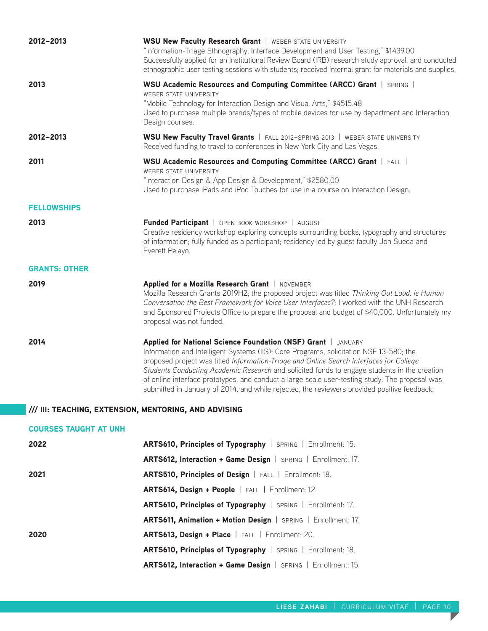| 2012-2013                    | <b>WSU New Faculty Research Grant   WEBER STATE UNIVERSITY</b><br>"Information-Triage Ethnography, Interface Development and User Testing," \$1439.00<br>Successfully applied for an Institutional Review Board (IRB) research study approval, and conducted<br>ethnographic user testing sessions with students; received internal grant for materials and supplies.                                                                                                                                                                               |
|------------------------------|-----------------------------------------------------------------------------------------------------------------------------------------------------------------------------------------------------------------------------------------------------------------------------------------------------------------------------------------------------------------------------------------------------------------------------------------------------------------------------------------------------------------------------------------------------|
| 2013                         | WSU Academic Resources and Computing Committee (ARCC) Grant   SPRING  <br>WEBER STATE UNIVERSITY<br>"Mobile Technology for Interaction Design and Visual Arts," \$4515.48<br>Used to purchase multiple brands/types of mobile devices for use by department and Interaction<br>Design courses.                                                                                                                                                                                                                                                      |
| 2012-2013                    | WSU New Faculty Travel Grants   FALL 2012-SPRING 2013   WEBER STATE UNIVERSITY<br>Received funding to travel to conferences in New York City and Las Vegas.                                                                                                                                                                                                                                                                                                                                                                                         |
| 2011                         | WSU Academic Resources and Computing Committee (ARCC) Grant   FALL  <br><b>WEBER STATE UNIVERSITY</b><br>"Interaction Design & App Design & Development," \$2580.00<br>Used to purchase iPads and iPod Touches for use in a course on Interaction Design.                                                                                                                                                                                                                                                                                           |
| <b>FELLOWSHIPS</b>           |                                                                                                                                                                                                                                                                                                                                                                                                                                                                                                                                                     |
| 2013                         | Funded Participant   OPEN BOOK WORKSHOP   AUGUST<br>Creative residency workshop exploring concepts surrounding books, typography and structures<br>of information; fully funded as a participant; residency led by guest faculty Jon Sueda and<br>Everett Pelayo.                                                                                                                                                                                                                                                                                   |
| <b>GRANTS: OTHER</b>         |                                                                                                                                                                                                                                                                                                                                                                                                                                                                                                                                                     |
| 2019                         | Applied for a Mozilla Research Grant   NOVEMBER<br>Mozilla Research Grants 2019H2; the proposed project was titled Thinking Out Loud: Is Human<br>Conversation the Best Framework for Voice User Interfaces?; I worked with the UNH Research<br>and Sponsored Projects Office to prepare the proposal and budget of \$40,000. Unfortunately my<br>proposal was not funded.                                                                                                                                                                          |
| 2014                         | Applied for National Science Foundation (NSF) Grant   JANUARY<br>Information and Intelligent Systems (IIS): Core Programs, solicitation NSF 13-580; the<br>proposed project was titled Information-Triage and Online Search Interfaces for College<br>Students Conducting Academic Research and solicited funds to engage students in the creation<br>of online interface prototypes, and conduct a large scale user-testing study. The proposal was<br>submitted in January of 2014, and while rejected, the reviewers provided positive feedback. |
|                              | /// III: TEACHING, EXTENSION, MENTORING, AND ADVISING                                                                                                                                                                                                                                                                                                                                                                                                                                                                                               |
| <b>COURSES TAUGHT AT UNH</b> |                                                                                                                                                                                                                                                                                                                                                                                                                                                                                                                                                     |
| 2022                         | ARTS610, Principles of Typography   SPRING   Enrollment: 15.                                                                                                                                                                                                                                                                                                                                                                                                                                                                                        |
|                              | ARTS612, Interaction + Game Design   SPRING   Enrollment: 17.                                                                                                                                                                                                                                                                                                                                                                                                                                                                                       |
| 2021                         | ARTS510, Principles of Design   FALL   Enrollment: 18.                                                                                                                                                                                                                                                                                                                                                                                                                                                                                              |
|                              | ARTS614, Design + People   FALL   Enrollment: 12.                                                                                                                                                                                                                                                                                                                                                                                                                                                                                                   |
|                              | ARTS610, Principles of Typography   SPRING   Enrollment: 17.                                                                                                                                                                                                                                                                                                                                                                                                                                                                                        |
|                              | ARTS611, Animation + Motion Design   SPRING   Enrollment: 17.                                                                                                                                                                                                                                                                                                                                                                                                                                                                                       |
| 2020                         | ARTS613, Design + Place   FALL   Enrollment: 20.                                                                                                                                                                                                                                                                                                                                                                                                                                                                                                    |
|                              | ARTS610, Principles of Typography   SPRING   Enrollment: 18.                                                                                                                                                                                                                                                                                                                                                                                                                                                                                        |

ARTS612, Interaction + Game Design | SPRING | Enrollment: 15.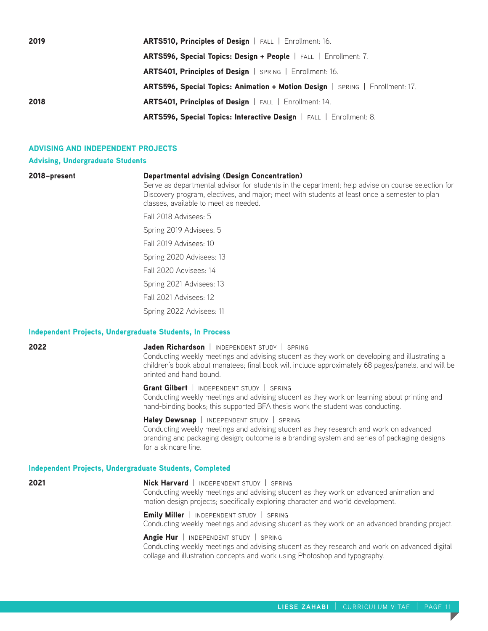| 2019 | ARTS510, Principles of Design   FALL   Enrollment: 16.                        |
|------|-------------------------------------------------------------------------------|
|      | <b>ARTS596, Special Topics: Design + People</b>   FALL   Enrollment: 7.       |
|      | ARTS401, Principles of Design   SPRING   Enrollment: 16.                      |
|      | ARTS596, Special Topics: Animation + Motion Design   SPRING   Enrollment: 17. |
| 2018 | ARTS401, Principles of Design   FALL   Enrollment: 14.                        |
|      | ARTS596, Special Topics: Interactive Design   FALL   Enrollment: 8.           |

## ADVISING AND INDEPENDENT PROJECTS

#### Advising, Undergraduate Students

|  | zulo-present |  |
|--|--------------|--|
|  |              |  |
|  |              |  |

## 2018–present Departmental advising (Design Concentration)

Serve as departmental advisor for students in the department; help advise on course selection for Discovery program, electives, and major; meet with students at least once a semester to plan classes, available to meet as needed.

Fall 2018 Advisees: 5

Spring 2019 Advisees: 5

Fall 2019 Advisees: 10

Spring 2020 Advisees: 13

Fall 2020 Advisees: 14

Spring 2021 Advisees: 13

Fall 2021 Advisees: 12

Spring 2022 Advisees: 11

#### Independent Projects, Undergraduate Students, In Process

#### **2022 Jaden Richardson** | INDEPENDENT STUDY | SPRING

Conducting weekly meetings and advising student as they work on developing and illustrating a children's book about manatees; final book will include approximately 68 pages/panels, and will be printed and hand bound.

## Grant Gilbert | INDEPENDENT STUDY | SPRING

Conducting weekly meetings and advising student as they work on learning about printing and hand-binding books; this supported BFA thesis work the student was conducting.

Haley Dewsnap | INDEPENDENT STUDY | SPRING Conducting weekly meetings and advising student as they research and work on advanced branding and packaging design; outcome is a branding system and series of packaging designs for a skincare line.

#### Independent Projects, Undergraduate Students, Completed

2021 **Nick Harvard** | INDEPENDENT STUDY | SPRING Conducting weekly meetings and advising student as they work on advanced animation and motion design projects; specifically exploring character and world development.

> Emily Miller | INDEPENDENT STUDY | SPRING Conducting weekly meetings and advising student as they work on an advanced branding project.

> Angie Hur | INDEPENDENT STUDY | SPRING Conducting weekly meetings and advising student as they research and work on advanced digital collage and illustration concepts and work using Photoshop and typography.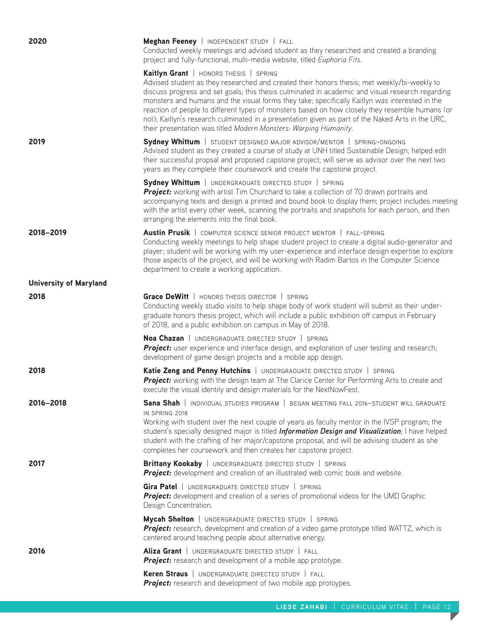| 2020                          | Meghan Feeney   INDEPENDENT STUDY   FALL<br>Conducted weekly meetings and advised student as they researched and created a branding<br>project and fully-functional, multi-media website, titled Euphoria Fits.                                                                                                                                                                                                                                                                                                                                                                                                         |
|-------------------------------|-------------------------------------------------------------------------------------------------------------------------------------------------------------------------------------------------------------------------------------------------------------------------------------------------------------------------------------------------------------------------------------------------------------------------------------------------------------------------------------------------------------------------------------------------------------------------------------------------------------------------|
|                               | Kaitlyn Grant   HONORS THESIS   SPRING<br>Advised student as they researched and created their honors thesis; met weekly/bi-weekly to<br>discuss progress and set goals; this thesis culminated in academic and visual research regarding<br>monsters and humans and the visual forms they take; specifically Kaitlyn was interested in the<br>reaction of people to different types of monsters based on how closely they resemble humans (or<br>not); Kaitlyn's research culminated in a presentation given as part of the Naked Arts in the URC,<br>their presentation was titled Modern Monsters: Warping Humanity. |
| 2019                          | Sydney Whittum   STUDENT DESIGNED MAJOR ADVISOR/MENTOR   SPRING-ONGOING<br>Advised student as they created a course of study at UNH titled Sustainable Design; helped edit<br>their successful propsal and proposed capstone project; will serve as advisor over the next two<br>years as they complete their coursework and create the capstone project.                                                                                                                                                                                                                                                               |
|                               | Sydney Whittum   UNDERGRADUATE DIRECTED STUDY   SPRING<br>Project: working with artist Tim Churchard to take a collection of 70 drawn portraits and<br>accompanying texts and design a printed and bound book to display them; project includes meeting<br>with the artist every other week, scanning the portraits and snapshots for each person, and then<br>arranging the elements into the final book.                                                                                                                                                                                                              |
| 2018-2019                     | Austin Prusik   COMPUTER SCIENCE SENIOR PROJECT MENTOR   FALL-SPRING<br>Conducting weekly meetings to help shape student project to create a digital audio-generator and<br>player; student will be working with my user-experience and interface design expertise to explore<br>those aspects of the project, and will be working with Radim Bartos in the Computer Science<br>department to create a working application.                                                                                                                                                                                             |
| <b>University of Maryland</b> |                                                                                                                                                                                                                                                                                                                                                                                                                                                                                                                                                                                                                         |
| 2018                          | Grace DeWitt   HONORS THESIS DIRECTOR   SPRING<br>Conducting weekly studio visits to help shape body of work student will submit as their under-<br>graduate honors thesis project, which will include a public exhibition off campus in February<br>of 2018, and a public exhibition on campus in May of 2018.                                                                                                                                                                                                                                                                                                         |
|                               | Noa Chazan   UNDERGRADUATE DIRECTED STUDY   SPRING<br>Project: user experience and interface design, and exploration of user testing and research;<br>development of game design projects and a mobile app design.                                                                                                                                                                                                                                                                                                                                                                                                      |
| 2018                          | Katie Zeng and Penny Hutchins   UNDERGRADUATE DIRECTED STUDY   SPRING<br>Project: working with the design team at The Clarice Center for Performing Arts to create and<br>execute the visual identity and design materials for the NextNowFest.                                                                                                                                                                                                                                                                                                                                                                         |
| 2016-2018                     | Sana Shah   INDIVIDUAL STUDIES PROGRAM   BEGAN MEETING FALL 2016-STUDENT WILL GRADUATE<br>IN SPRING 2018<br>Working with student over the next couple of years as faculty mentor in the IVSP program; the<br>student's specially designed major is titled <i>Information Design and Visualization</i> ; I have helped<br>student with the crafting of her major/capstone proposal, and will be advising student as she<br>completes her coursework and then creates her capstone project.                                                                                                                               |
| 2017                          | Brittany Kookaby   UNDERGRADUATE DIRECTED STUDY   SPRING<br>Project: development and creation of an illustrated web comic book and website.                                                                                                                                                                                                                                                                                                                                                                                                                                                                             |
|                               | Gira Patel   UNDERGRADUATE DIRECTED STUDY   SPRING<br>Project: development and creation of a series of promotional videos for the UMD Graphic<br>Design Concentration.                                                                                                                                                                                                                                                                                                                                                                                                                                                  |
|                               | <b>Mycah Shelton</b>   UNDERGRADUATE DIRECTED STUDY   SPRING<br>Project: research, development and creation of a video game prototype titled WATTZ, which is<br>centered around teaching people about alternative energy.                                                                                                                                                                                                                                                                                                                                                                                               |
| 2016                          | Aliza Grant   UNDERGRADUATE DIRECTED STUDY   FALL<br><b>Project:</b> research and development of a mobile app prototype.                                                                                                                                                                                                                                                                                                                                                                                                                                                                                                |
|                               | <b>Keren Straus</b>   UNDERGRADUATE DIRECTED STUDY   FALL<br><b>Project:</b> research and development of two mobile app protoypes.                                                                                                                                                                                                                                                                                                                                                                                                                                                                                      |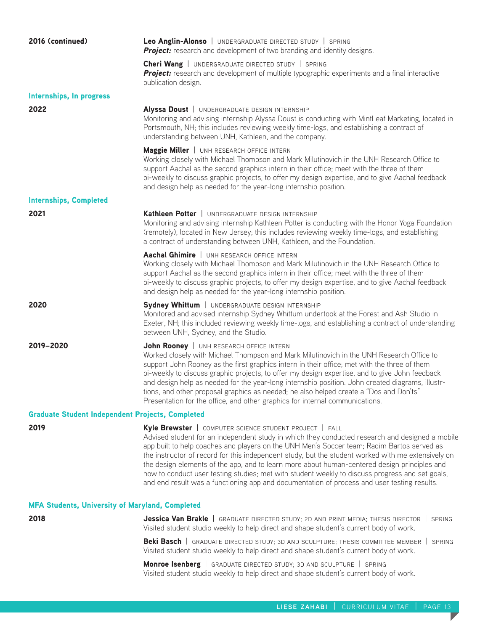| 2016 (continued)                                        | Leo Anglin-Alonso   UNDERGRADUATE DIRECTED STUDY   SPRING<br><b>Project:</b> research and development of two branding and identity designs.                                                                                                                                                                                                                                                                                                                                                                                                                                                                                                                      |
|---------------------------------------------------------|------------------------------------------------------------------------------------------------------------------------------------------------------------------------------------------------------------------------------------------------------------------------------------------------------------------------------------------------------------------------------------------------------------------------------------------------------------------------------------------------------------------------------------------------------------------------------------------------------------------------------------------------------------------|
|                                                         | <b>Cheri Wang</b>   UNDERGRADUATE DIRECTED STUDY   SPRING<br><b>Project:</b> research and development of multiple typographic experiments and a final interactive<br>publication design.                                                                                                                                                                                                                                                                                                                                                                                                                                                                         |
| Internships, In progress                                |                                                                                                                                                                                                                                                                                                                                                                                                                                                                                                                                                                                                                                                                  |
| 2022                                                    | Alyssa Doust   UNDERGRADUATE DESIGN INTERNSHIP<br>Monitoring and advising internship Alyssa Doust is conducting with MintLeaf Marketing, located in<br>Portsmouth, NH; this includes reviewing weekly time-logs, and establishing a contract of<br>understanding between UNH, Kathleen, and the company.                                                                                                                                                                                                                                                                                                                                                         |
|                                                         | Maggie Miller   UNH RESEARCH OFFICE INTERN<br>Working closely with Michael Thompson and Mark Milutinovich in the UNH Research Office to<br>support Aachal as the second graphics intern in their office; meet with the three of them<br>bi-weekly to discuss graphic projects, to offer my design expertise, and to give Aachal feedback<br>and design help as needed for the year-long internship position.                                                                                                                                                                                                                                                     |
| <b>Internships, Completed</b>                           |                                                                                                                                                                                                                                                                                                                                                                                                                                                                                                                                                                                                                                                                  |
| 2021                                                    | Kathleen Potter   UNDERGRADUATE DESIGN INTERNSHIP<br>Monitoring and advising internship Kathleen Potter is conducting with the Honor Yoga Foundation<br>(remotely), located in New Jersey; this includes reviewing weekly time-logs, and establishing<br>a contract of understanding between UNH, Kathleen, and the Foundation.                                                                                                                                                                                                                                                                                                                                  |
|                                                         | Aachal Ghimire   UNH RESEARCH OFFICE INTERN<br>Working closely with Michael Thompson and Mark Milutinovich in the UNH Research Office to<br>support Aachal as the second graphics intern in their office; meet with the three of them<br>bi-weekly to discuss graphic projects, to offer my design expertise, and to give Aachal feedback<br>and design help as needed for the year-long internship position.                                                                                                                                                                                                                                                    |
| 2020                                                    | Sydney Whittum   UNDERGRADUATE DESIGN INTERNSHIP<br>Monitored and advised internship Sydney Whittum undertook at the Forest and Ash Studio in<br>Exeter, NH; this included reviewing weekly time-logs, and establishing a contract of understanding<br>between UNH, Sydney, and the Studio.                                                                                                                                                                                                                                                                                                                                                                      |
| 2019-2020                                               | John Rooney   UNH RESEARCH OFFICE INTERN<br>Worked closely with Michael Thompson and Mark Milutinovich in the UNH Research Office to<br>support John Rooney as the first graphics intern in their office; met with the three of them<br>bi-weekly to discuss graphic projects, to offer my design expertise, and to give John feedback<br>and design help as needed for the year-long internship position. John created diagrams, illustr-<br>tions, and other proposal graphics as needed; he also helped create a "Dos and Don'ts"<br>Presentation for the office, and other graphics for internal communications.                                             |
| <b>Graduate Student Independent Projects, Completed</b> |                                                                                                                                                                                                                                                                                                                                                                                                                                                                                                                                                                                                                                                                  |
| 2019                                                    | Kyle Brewster   COMPUTER SCIENCE STUDENT PROJECT   FALL<br>Advised student for an independent study in which they conducted research and designed a mobile<br>app built to help coaches and players on the UNH Men's Soccer team; Radim Bartos served as<br>the instructor of record for this independent study, but the student worked with me extensively on<br>the design elements of the app, and to learn more about human-centered design principles and<br>how to conduct user testing studies; met with student weekly to discuss progress and set goals,<br>and end result was a functioning app and documentation of process and user testing results. |
| <b>MFA Students, University of Maryland, Completed</b>  |                                                                                                                                                                                                                                                                                                                                                                                                                                                                                                                                                                                                                                                                  |
| 2018                                                    | <b>Jessica Van Brakle</b>   GRADUATE DIRECTED STUDY; 2D AND PRINT MEDIA; THESIS DIRECTOR   SPRING<br>Visited student studio weekly to help direct and shape student's current body of work.                                                                                                                                                                                                                                                                                                                                                                                                                                                                      |
|                                                         | <b>Beki Basch</b>   GRADUATE DIRECTED STUDY; 3D AND SCULPTURE; THESIS COMMITTEE MEMBER   SPRING<br>Visited student studio weekly to help direct and shape student's current body of work.                                                                                                                                                                                                                                                                                                                                                                                                                                                                        |
|                                                         | Monroe Isenberg   GRADUATE DIRECTED STUDY; 3D AND SCULPTURE   SPRING<br>Visited student studio weekly to help direct and shape student's current body of work.                                                                                                                                                                                                                                                                                                                                                                                                                                                                                                   |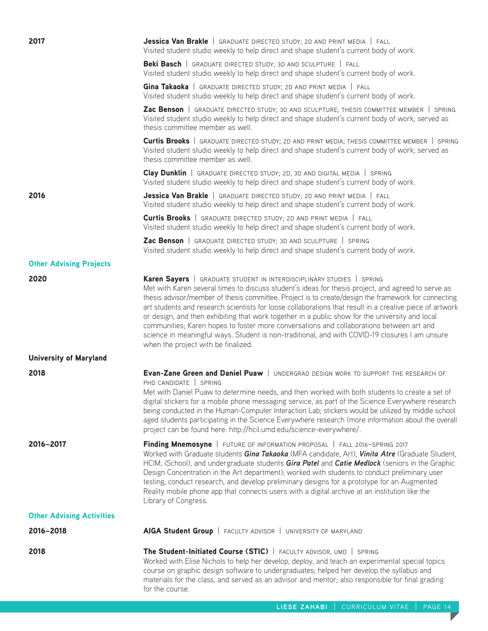| 2017                             | Jessica Van Brakle   GRADUATE DIRECTED STUDY; 2D AND PRINT MEDIA   FALL<br>Visited student studio weekly to help direct and shape student's current body of work.                                                                                                                                                                                                                                                                                                                                                                                                                                                                                                                                                                             |
|----------------------------------|-----------------------------------------------------------------------------------------------------------------------------------------------------------------------------------------------------------------------------------------------------------------------------------------------------------------------------------------------------------------------------------------------------------------------------------------------------------------------------------------------------------------------------------------------------------------------------------------------------------------------------------------------------------------------------------------------------------------------------------------------|
|                                  | <b>Beki Basch</b>   GRADUATE DIRECTED STUDY; 3D AND SCULPTURE   FALL<br>Visited student studio weekly to help direct and shape student's current body of work.                                                                                                                                                                                                                                                                                                                                                                                                                                                                                                                                                                                |
|                                  | Gina Takaoka   GRADUATE DIRECTED STUDY; 2D AND PRINT MEDIA   FALL<br>Visited student studio weekly to help direct and shape student's current body of work.                                                                                                                                                                                                                                                                                                                                                                                                                                                                                                                                                                                   |
|                                  | Zac Benson   GRADUATE DIRECTED STUDY; 3D AND SCULPTURE; THESIS COMMITTEE MEMBER   SPRING<br>Visited student studio weekly to help direct and shape student's current body of work; served as<br>thesis committee member as well.                                                                                                                                                                                                                                                                                                                                                                                                                                                                                                              |
|                                  | <b>Curtis Brooks</b>   GRADUATE DIRECTED STUDY; 2D AND PRINT MEDIA; THESIS COMMITTEE MEMBER   SPRING<br>Visited student studio weekly to help direct and shape student's current body of work; served as<br>thesis committee member as well.                                                                                                                                                                                                                                                                                                                                                                                                                                                                                                  |
|                                  | Clay Dunklin   GRADUATE DIRECTED STUDY; 2D, 3D AND DIGITAL MEDIA   SPRING<br>Visited student studio weekly to help direct and shape student's current body of work.                                                                                                                                                                                                                                                                                                                                                                                                                                                                                                                                                                           |
| 2016                             | <b>Jessica Van Brakle</b>   GRADUATE DIRECTED STUDY; 2D AND PRINT MEDIA   FALL<br>Visited student studio weekly to help direct and shape student's current body of work.                                                                                                                                                                                                                                                                                                                                                                                                                                                                                                                                                                      |
|                                  | <b>Curtis Brooks</b>   GRADUATE DIRECTED STUDY; 2D AND PRINT MEDIA   FALL<br>Visited student studio weekly to help direct and shape student's current body of work.                                                                                                                                                                                                                                                                                                                                                                                                                                                                                                                                                                           |
|                                  | Zac Benson   GRADUATE DIRECTED STUDY; 3D AND SCULPTURE   SPRING<br>Visited student studio weekly to help direct and shape student's current body of work.                                                                                                                                                                                                                                                                                                                                                                                                                                                                                                                                                                                     |
| <b>Other Advising Projects</b>   |                                                                                                                                                                                                                                                                                                                                                                                                                                                                                                                                                                                                                                                                                                                                               |
| 2020                             | <b>Karen Sayers</b>   GRADUATE STUDENT IN INTERDISCIPLINARY STUDIES   SPRING<br>Met with Karen several times to discuss student's ideas for thesis project, and agreed to serve as<br>thesis advisor/member of thesis committee. Project is to create/design the framework for connecting<br>art students and research scientists for loose collaborations that result in a creative piece of artwork<br>or design, and then exhibiting that work together in a public show for the university and local<br>communities; Karen hopes to foster more conversations and collaborations between art and<br>science in meaningful ways. Student is non-traditional, and with COVID-19 closures I am unsure<br>when the project with be finalized. |
| <b>University of Maryland</b>    |                                                                                                                                                                                                                                                                                                                                                                                                                                                                                                                                                                                                                                                                                                                                               |
| 2018                             | <b>Evan-Zane Green and Daniel Puaw</b>   UNDERGRAD DESIGN WORK TO SUPPORT THE RESEARCH OF<br>PHD CANDIDATE   SPRING<br>Met with Daniel Puaw to determine needs, and then worked with both students to create a set of<br>digital stickers for a mobile phone messaging service, as part of the Science Everywhere research<br>being conducted in the Human-Computer Interaction Lab; stickers would be utilized by middle school<br>aged students participating in the Science Everywhere research (more information about the overall<br>project can be found here: http://hcil.umd.edu/science-everywhere/.                                                                                                                                 |
| 2016-2017                        | Finding Mnemosyne   FUTURE OF INFORMATION PROPOSAL   FALL 2016-SPRING 2017<br>Worked with Graduate students Gina Takaoka (MFA candidate, Art), Vinita Atre (Graduate Student,<br>HCIM, iSchool), and undergraduate students Gira Patel and Catie Medlock (seniors in the Graphic<br>Design Concentration in the Art department); worked with students to conduct preliminary user<br>testing, conduct research, and develop preliminary designs for a prototype for an Augmented<br>Reality mobile phone app that connects users with a digital archive at an institution like the<br>Library of Congress.                                                                                                                                    |
| <b>Other Advising Activities</b> |                                                                                                                                                                                                                                                                                                                                                                                                                                                                                                                                                                                                                                                                                                                                               |
| 2016-2018                        | AIGA Student Group   FACULTY ADVISOR   UNIVERSITY OF MARYLAND                                                                                                                                                                                                                                                                                                                                                                                                                                                                                                                                                                                                                                                                                 |
| 2018                             | The Student-Initiated Course (STIC)   FACULTY ADVISOR, UMD   SPRING<br>Worked with Elise Nichols to help her develop, deploy, and teach an experimental special topics<br>course on graphic design software to undergraduates; helped her develop the syllabus and<br>materials for the class, and served as an advisor and mentor; also responsible for final grading<br>for the course.                                                                                                                                                                                                                                                                                                                                                     |

T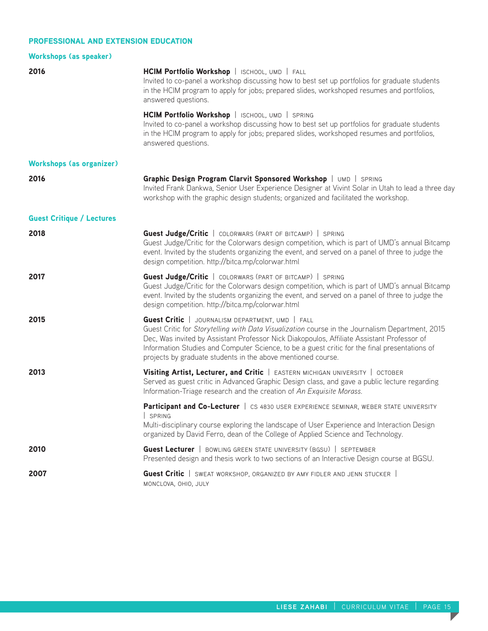## PROFESSIONAL AND EXTENSION EDUCATION

| <b>Workshops (as speaker)</b>    |                                                                                                                                                                                                                                                                                                                                                                                                                           |
|----------------------------------|---------------------------------------------------------------------------------------------------------------------------------------------------------------------------------------------------------------------------------------------------------------------------------------------------------------------------------------------------------------------------------------------------------------------------|
| 2016                             | HCIM Portfolio Workshop   ISCHOOL, UMD   FALL<br>Invited to co-panel a workshop discussing how to best set up portfolios for graduate students<br>in the HCIM program to apply for jobs; prepared slides, workshoped resumes and portfolios,<br>answered questions.                                                                                                                                                       |
|                                  | HCIM Portfolio Workshop   ISCHOOL, UMD   SPRING<br>Invited to co-panel a workshop discussing how to best set up portfolios for graduate students<br>in the HCIM program to apply for jobs; prepared slides, workshoped resumes and portfolios,<br>answered questions.                                                                                                                                                     |
| <b>Workshops (as organizer)</b>  |                                                                                                                                                                                                                                                                                                                                                                                                                           |
| 2016                             | Graphic Design Program Clarvit Sponsored Workshop   UMD   SPRING<br>Invited Frank Dankwa, Senior User Experience Designer at Vivint Solar in Utah to lead a three day<br>workshop with the graphic design students; organized and facilitated the workshop.                                                                                                                                                               |
| <b>Guest Critique / Lectures</b> |                                                                                                                                                                                                                                                                                                                                                                                                                           |
| 2018                             | <b>Guest Judge/Critic</b>   COLORWARS (PART OF BITCAMP)   SPRING<br>Guest Judge/Critic for the Colorwars design competition, which is part of UMD's annual Bitcamp<br>event. Invited by the students organizing the event, and served on a panel of three to judge the<br>design competition. http://bitca.mp/colorwar.html                                                                                               |
| 2017                             | <b>Guest Judge/Critic</b>   COLORWARS (PART OF BITCAMP)   SPRING<br>Guest Judge/Critic for the Colorwars design competition, which is part of UMD's annual Bitcamp<br>event. Invited by the students organizing the event, and served on a panel of three to judge the<br>design competition. http://bitca.mp/colorwar.html                                                                                               |
| 2015                             | <b>Guest Critic</b>   JOURNALISM DEPARTMENT, UMD   FALL<br>Guest Critic for Storytelling with Data Visualization course in the Journalism Department, 2015<br>Dec, Was invited by Assistant Professor Nick Diakopoulos, Affiliate Assistant Professor of<br>Information Studies and Computer Science, to be a guest critic for the final presentations of<br>projects by graduate students in the above mentioned course. |
| 2013                             | Visiting Artist, Lecturer, and Critic   EASTERN MICHIGAN UNIVERSITY   OCTOBER<br>Served as guest critic in Advanced Graphic Design class, and gave a public lecture regarding<br>Information-Triage research and the creation of An Exquisite Morass.                                                                                                                                                                     |
|                                  | <b>Participant and Co-Lecturer</b>   CS 4830 USER EXPERIENCE SEMINAR, WEBER STATE UNIVERSITY<br>SPRING<br>Multi-disciplinary course exploring the landscape of User Experience and Interaction Design<br>organized by David Ferro, dean of the College of Applied Science and Technology.                                                                                                                                 |
| 2010                             | <b>Guest Lecturer</b>   BOWLING GREEN STATE UNIVERSITY (BGSU)   SEPTEMBER<br>Presented design and thesis work to two sections of an Interactive Design course at BGSU.                                                                                                                                                                                                                                                    |
| 2007                             | <b>Guest Critic</b>   SWEAT WORKSHOP, ORGANIZED BY AMY FIDLER AND JENN STUCKER  <br>MONCLOVA, OHIO, JULY                                                                                                                                                                                                                                                                                                                  |

П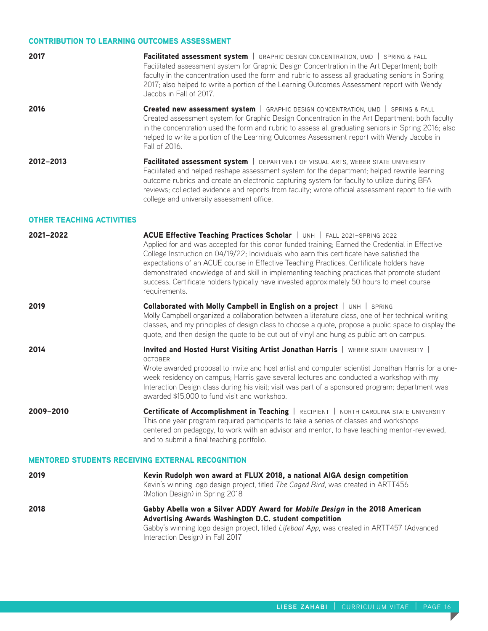## CONTRIBUTION TO LEARNING OUTCOMES ASSESSMENT

| 2017                             | Facilitated assessment system   GRAPHIC DESIGN CONCENTRATION, UMD   SPRING & FALL<br>Facilitated assessment system for Graphic Design Concentration in the Art Department; both<br>faculty in the concentration used the form and rubric to assess all graduating seniors in Spring<br>2017; also helped to write a portion of the Learning Outcomes Assessment report with Wendy<br>Jacobs in Fall of 2017.                         |
|----------------------------------|--------------------------------------------------------------------------------------------------------------------------------------------------------------------------------------------------------------------------------------------------------------------------------------------------------------------------------------------------------------------------------------------------------------------------------------|
| 2016                             | <b>Created new assessment system</b>   GRAPHIC DESIGN CONCENTRATION, UMD   SPRING & FALL<br>Created assessment system for Graphic Design Concentration in the Art Department; both faculty<br>in the concentration used the form and rubric to assess all graduating seniors in Spring 2016; also<br>helped to write a portion of the Learning Outcomes Assessment report with Wendy Jacobs in<br>Fall of 2016.                      |
| 2012-2013                        | Facilitated assessment system   DEPARTMENT OF VISUAL ARTS, WEBER STATE UNIVERSITY<br>Facilitated and helped reshape assessment system for the department; helped rewrite learning<br>outcome rubrics and create an electronic capturing system for faculty to utilize during BFA<br>reviews; collected evidence and reports from faculty; wrote official assessment report to file with<br>college and university assessment office. |
| <b>OTHER TEACHING ACTIVITIES</b> |                                                                                                                                                                                                                                                                                                                                                                                                                                      |
|                                  |                                                                                                                                                                                                                                                                                                                                                                                                                                      |

| 2021-2022 | ACUE Effective Teaching Practices Scholar   UNH   FALL 2021-SPRING 2022                                                                                                                   |
|-----------|-------------------------------------------------------------------------------------------------------------------------------------------------------------------------------------------|
|           | Applied for and was accepted for this donor funded training; Earned the Credential in Effective                                                                                           |
|           | College Instruction on 04/19/22; Individuals who earn this certificate have satisfied the                                                                                                 |
|           | expectations of an ACUE course in Effective Teaching Practices. Certificate holders have                                                                                                  |
|           | demonstrated knowledge of and skill in implementing teaching practices that promote student<br>success. Certificate holders typically have invested approximately 50 hours to meet course |
|           | requirements.                                                                                                                                                                             |
|           |                                                                                                                                                                                           |

**2019 Collaborated with Molly Campbell in English on a project** | UNH | SPRING Molly Campbell organized a collaboration between a literature class, one of her technical writing classes, and my principles of design class to choose a quote, propose a public space to display the quote, and then design the quote to be cut out of vinyl and hung as public art on campus.

**2014 Invited and Hosted Hurst Visiting Artist Jonathan Harris** | WEBER STATE UNIVERSITY | october Wrote awarded proposal to invite and host artist and computer scientist Jonathan Harris for a oneweek residency on campus; Harris gave several lectures and conducted a workshop with my Interaction Design class during his visit; visit was part of a sponsored program; department was awarded \$15,000 to fund visit and workshop.

2009-2010 **Certificate of Accomplishment in Teaching** | RECIPIENT | NORTH CAROLINA STATE UNIVERSITY This one year program required participants to take a series of classes and workshops centered on pedagogy, to work with an advisor and mentor, to have teaching mentor-reviewed, and to submit a final teaching portfolio.

## MENTORED STUDENTS RECEIVING EXTERNAL RECOGNITION

| 2019 | Kevin Rudolph won award at FLUX 2018, a national AIGA design competition<br>Kevin's winning logo design project, titled The Caged Bird, was created in ARTT456<br>(Motion Design) in Spring 2018                                                                        |
|------|-------------------------------------------------------------------------------------------------------------------------------------------------------------------------------------------------------------------------------------------------------------------------|
| 2018 | Gabby Abella won a Silver ADDY Award for Mobile Design in the 2018 American<br>Advertising Awards Washington D.C. student competition<br>Gabby's winning logo design project, titled Lifeboat App, was created in ARTT457 (Advanced<br>Interaction Design) in Fall 2017 |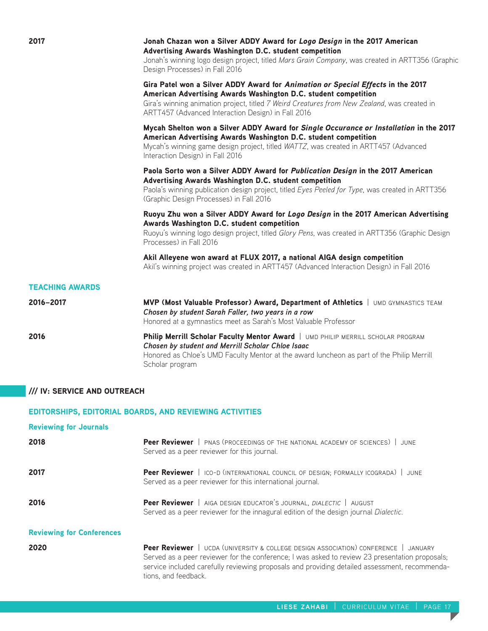| 2017                         | Jonah Chazan won a Silver ADDY Award for Logo Design in the 2017 American<br>Advertising Awards Washington D.C. student competition<br>Jonah's winning logo design project, titled Mars Grain Company, was created in ARTT356 (Graphic<br>Design Processes) in Fall 2016                                |
|------------------------------|---------------------------------------------------------------------------------------------------------------------------------------------------------------------------------------------------------------------------------------------------------------------------------------------------------|
|                              | Gira Patel won a Silver ADDY Award for Animation or Special Effects in the 2017<br>American Advertising Awards Washington D.C. student competition<br>Gira's winning animation project, titled 7 Weird Creatures from New Zealand, was created in<br>ARTT457 (Advanced Interaction Design) in Fall 2016 |
|                              | Mycah Shelton won a Silver ADDY Award for Single Occurance or Installation in the 2017<br>American Advertising Awards Washington D.C. student competition<br>Mycah's winning game design project, titled WATTZ, was created in ARTT457 (Advanced<br>Interaction Design) in Fall 2016                    |
|                              | Paola Sorto won a Silver ADDY Award for Publication Design in the 2017 American<br>Advertising Awards Washington D.C. student competition<br>Paola's winning publication design project, titled Eyes Peeled for Type, was created in ARTT356<br>(Graphic Design Processes) in Fall 2016                 |
|                              | Ruoyu Zhu won a Silver ADDY Award for Logo Design in the 2017 American Advertising<br>Awards Washington D.C. student competition<br>Ruoyu's winning logo design project, titled Glory Pens, was created in ARTT356 (Graphic Design<br>Processes) in Fall 2016                                           |
|                              | Akil Alleyene won award at FLUX 2017, a national AIGA design competition<br>Akil's winning project was created in ARTT457 (Advanced Interaction Design) in Fall 2016                                                                                                                                    |
| <b>TEACHING AWARDS</b>       |                                                                                                                                                                                                                                                                                                         |
| 2016-2017                    | MVP (Most Valuable Professor) Award, Department of Athletics   UMD GYMNASTICS TEAM<br>Chosen by student Sarah Faller, two years in a row<br>Honored at a gymnastics meet as Sarah's Most Valuable Professor                                                                                             |
| 2016                         | Philip Merrill Scholar Faculty Mentor Award   UMD PHILIP MERRILL SCHOLAR PROGRAM<br>Chosen by student and Merrill Scholar Chloe Isaac<br>Honored as Chloe's UMD Faculty Mentor at the award luncheon as part of the Philip Merrill<br>Scholar program                                                   |
| /// IV: SERVICE AND OUTREACH |                                                                                                                                                                                                                                                                                                         |

# EDITORSHIPS, EDITORIAL BOARDS, AND REVIEWING ACTIVITIES

| <b>Reviewing for Journals</b>    |                                                                                                                                                                                                                                                                                                                |
|----------------------------------|----------------------------------------------------------------------------------------------------------------------------------------------------------------------------------------------------------------------------------------------------------------------------------------------------------------|
| 2018                             | <b>Peer Reviewer</b>   PNAS (PROCEEDINGS OF THE NATIONAL ACADEMY OF SCIENCES)  <br>.JUNE<br>Served as a peer reviewer for this journal.                                                                                                                                                                        |
| 2017                             | Peer Reviewer   ICO-D (INTERNATIONAL COUNCIL OF DESIGN; FORMALLY ICOGRADA)   JUNE<br>Served as a peer reviewer for this international journal.                                                                                                                                                                 |
| 2016                             | Peer Reviewer   AIGA DESIGN EDUCATOR'S JOURNAL, DIALECTIC   AUGUST<br>Served as a peer reviewer for the innagural edition of the design journal Dialectic.                                                                                                                                                     |
| <b>Reviewing for Conferences</b> |                                                                                                                                                                                                                                                                                                                |
| 2020                             | Peer Reviewer   UCDA (UNIVERSITY & COLLEGE DESIGN ASSOCIATION) CONFERENCE   JANUARY<br>Served as a peer reviewer for the conference; I was asked to review 23 presentation proposals;<br>service included carefully reviewing proposals and providing detailed assessment, recommenda-<br>tions, and feedback. |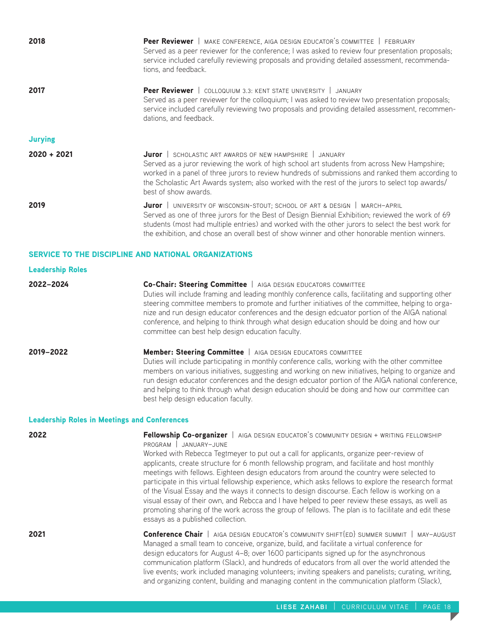| 2018                                         | Peer Reviewer   MAKE CONFERENCE, AIGA DESIGN EDUCATOR'S COMMITTEE   FEBRUARY<br>Served as a peer reviewer for the conference; I was asked to review four presentation proposals;<br>service included carefully reviewing proposals and providing detailed assessment, recommenda-<br>tions, and feedback.                                                                                                                                                                                                                     |
|----------------------------------------------|-------------------------------------------------------------------------------------------------------------------------------------------------------------------------------------------------------------------------------------------------------------------------------------------------------------------------------------------------------------------------------------------------------------------------------------------------------------------------------------------------------------------------------|
| 2017                                         | Peer Reviewer   COLLOQUIUM 3.3: KENT STATE UNIVERSITY   JANUARY<br>Served as a peer reviewer for the colloquium; I was asked to review two presentation proposals;<br>service included carefully reviewing two proposals and providing detailed assessment, recommen-<br>dations, and feedback.                                                                                                                                                                                                                               |
| <b>Jurying</b>                               |                                                                                                                                                                                                                                                                                                                                                                                                                                                                                                                               |
| $2020 + 2021$                                | Juror   SCHOLASTIC ART AWARDS OF NEW HAMPSHIRE   JANUARY<br>Served as a juror reviewing the work of high school art students from across New Hampshire;<br>worked in a panel of three jurors to review hundreds of submissions and ranked them according to<br>the Scholastic Art Awards system; also worked with the rest of the jurors to select top awards/<br>best of show awards.                                                                                                                                        |
| 2019                                         | Juror   UNIVERSITY OF WISCONSIN-STOUT; SCHOOL OF ART & DESIGN   MARCH-APRIL<br>Served as one of three jurors for the Best of Design Biennial Exhibition; reviewed the work of 69<br>students (most had multiple entries) and worked with the other jurors to select the best work for<br>the exhibition, and chose an overall best of show winner and other honorable mention winners.                                                                                                                                        |
|                                              | <b>SERVICE TO THE DISCIPLINE AND NATIONAL ORGANIZATIONS</b>                                                                                                                                                                                                                                                                                                                                                                                                                                                                   |
| <b>Leadership Roles</b>                      |                                                                                                                                                                                                                                                                                                                                                                                                                                                                                                                               |
| 2022-2024                                    | Co-Chair: Steering Committee   AIGA DESIGN EDUCATORS COMMITTEE<br>Duties will include framing and leading monthly conference calls, facilitating and supporting other<br>steering committee members to promote and further initiatives of the committee, helping to orga-<br>nize and run design educator conferences and the design edcuator portion of the AIGA national<br>conference, and helping to think through what design education should be doing and how our<br>committee can best help design education faculty. |
| 2019-2022                                    | Member: Steering Committee   AIGA DESIGN EDUCATORS COMMITTEE<br>Duties will include participating in monthly conference calls, working with the other committee<br>members on various initiatives, suggesting and working on new initiatives, helping to organize and<br>run design educator conferences and the design edcuator portion of the AIGA national conference,<br>and helping to think through what design education should be doing and how our committee can<br>best help design education faculty.              |
| Leadership Roles in Meetings and Conferences |                                                                                                                                                                                                                                                                                                                                                                                                                                                                                                                               |

# eadership Roles in Meetings and Conferences

| 2022 | Fellowship Co-organizer   AIGA DESIGN EDUCATOR'S COMMUNITY DESIGN + WRITING FELLOWSHIP<br>PROGRAM JANUARY-JUNE<br>Worked with Rebecca Tegtmeyer to put out a call for applicants, organize peer-review of<br>applicants, create structure for 6 month fellowship program, and facilitate and host monthly<br>meetings with fellows. Eighteen design educators from around the country were selected to<br>participate in this virtual fellowship experience, which asks fellows to explore the research format<br>of the Visual Essay and the ways it connects to design discourse. Each fellow is working on a<br>visual essay of their own, and Rebcca and I have helped to peer review these essays, as well as<br>promoting sharing of the work across the group of fellows. The plan is to facilitate and edit these<br>essays as a published collection. |
|------|----------------------------------------------------------------------------------------------------------------------------------------------------------------------------------------------------------------------------------------------------------------------------------------------------------------------------------------------------------------------------------------------------------------------------------------------------------------------------------------------------------------------------------------------------------------------------------------------------------------------------------------------------------------------------------------------------------------------------------------------------------------------------------------------------------------------------------------------------------------|
| 2021 | <b>Conference Chair</b>   AIGA DESIGN EDUCATOR'S COMMUNITY SHIFT{ED} SUMMER SUMMIT   MAY-AUGUST<br>Managed a small team to conceive, organize, build, and facilitate a virtual conference for<br>design educators for August 4-8; over 1600 participants signed up for the asynchronous<br>communication platform (Slack), and hundreds of educators from all over the world attended the<br>live events; work included managing volunteers; inviting speakers and panelists; curating, writing,<br>and organizing content, building and managing content in the communication platform (Slack),                                                                                                                                                                                                                                                               |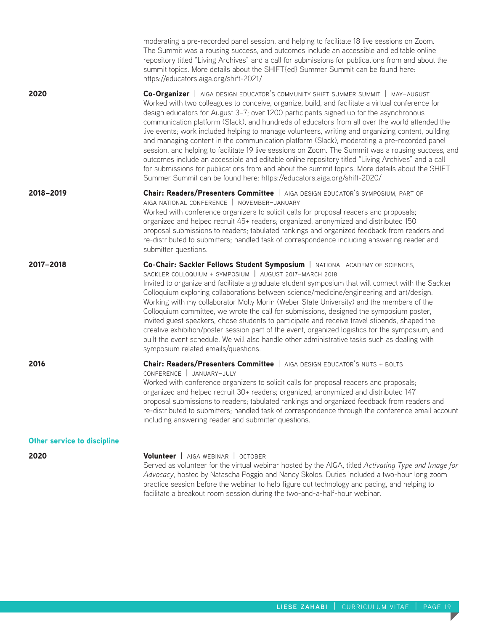|                                    | moderating a pre-recorded panel session, and helping to facilitate 18 live sessions on Zoom.<br>The Summit was a rousing success, and outcomes include an accessible and editable online<br>repository titled "Living Archives" and a call for submissions for publications from and about the<br>summit topics. More details about the SHIFT{ed} Summer Summit can be found here:<br>https://educators.aiga.org/shift-2021/                                                                                                                                                                                                                                                                                                                                                                                                                                                                                                                                                  |
|------------------------------------|-------------------------------------------------------------------------------------------------------------------------------------------------------------------------------------------------------------------------------------------------------------------------------------------------------------------------------------------------------------------------------------------------------------------------------------------------------------------------------------------------------------------------------------------------------------------------------------------------------------------------------------------------------------------------------------------------------------------------------------------------------------------------------------------------------------------------------------------------------------------------------------------------------------------------------------------------------------------------------|
| 2020                               | Co-Organizer   AIGA DESIGN EDUCATOR'S COMMUNITY SHIFT SUMMER SUMMIT   MAY-AUGUST<br>Worked with two colleagues to conceive, organize, build, and facilitate a virtual conference for<br>design educators for August 3-7; over 1200 participants signed up for the asynchronous<br>communication platform (Slack), and hundreds of educators from all over the world attended the<br>live events; work included helping to manage volunteers, writing and organizing content, building<br>and managing content in the communication platform (Slack), moderating a pre-recorded panel<br>session, and helping to facilitate 19 live sessions on Zoom. The Summit was a rousing success, and<br>outcomes include an accessible and editable online repository titled "Living Archives" and a call<br>for submissions for publications from and about the summit topics. More details about the SHIFT<br>Summer Summit can be found here: https://educators.aiga.org/shift-2020/ |
| 2018-2019                          | Chair: Readers/Presenters Committee   AIGA DESIGN EDUCATOR'S SYMPOSIUM, PART OF<br>AIGA NATIONAL CONFERENCE   NOVEMBER-JANUARY<br>Worked with conference organizers to solicit calls for proposal readers and proposals;<br>organized and helped recruit 45+ readers; organized, anonymized and distributed 150<br>proposal submissions to readers; tabulated rankings and organized feedback from readers and<br>re-distributed to submitters; handled task of correspondence including answering reader and<br>submitter questions.                                                                                                                                                                                                                                                                                                                                                                                                                                         |
| 2017-2018                          | Co-Chair: Sackler Fellows Student Symposium   NATIONAL ACADEMY OF SCIENCES,<br>SACKLER COLLOQUIUM + SYMPOSIUM   AUGUST 2017-MARCH 2018<br>Invited to organize and facilitate a graduate student symposium that will connect with the Sackler<br>Colloquium exploring collaborations between science/medicine/engineering and art/design.<br>Working with my collaborator Molly Morin (Weber State University) and the members of the<br>Colloquium committee, we wrote the call for submissions, designed the symposium poster,<br>invited guest speakers, chose students to participate and receive travel stipends, shaped the<br>creative exhibition/poster session part of the event, organized logistics for the symposium, and<br>built the event schedule. We will also handle other administrative tasks such as dealing with<br>symposium related emails/questions.                                                                                                  |
| 2016                               | <b>Chair: Readers/Presenters Committee</b>   AIGA DESIGN EDUCATOR'S NUTS + BOLTS<br>CONFERENCE   JANUARY-JULY<br>Worked with conference organizers to solicit calls for proposal readers and proposals;<br>organized and helped recruit 30+ readers; organized, anonymized and distributed 147<br>proposal submissions to readers; tabulated rankings and organized feedback from readers and<br>re-distributed to submitters; handled task of correspondence through the conference email account<br>including answering reader and submitter questions.                                                                                                                                                                                                                                                                                                                                                                                                                     |
| <b>Other service to discipline</b> |                                                                                                                                                                                                                                                                                                                                                                                                                                                                                                                                                                                                                                                                                                                                                                                                                                                                                                                                                                               |
| 2020                               | Volunteer   AIGA WEBINAR   OCTOBER<br>Served as volunteer for the virtual webinar hosted by the AIGA, titled Activating Type and Image for<br>Advocacy, hosted by Natascha Poggio and Nancy Skolos. Duties included a two-hour long zoom<br>practice session before the webinar to help figure out technology and pacing, and helping to<br>facilitate a breakout room session during the two-and-a-half-hour webinar.                                                                                                                                                                                                                                                                                                                                                                                                                                                                                                                                                        |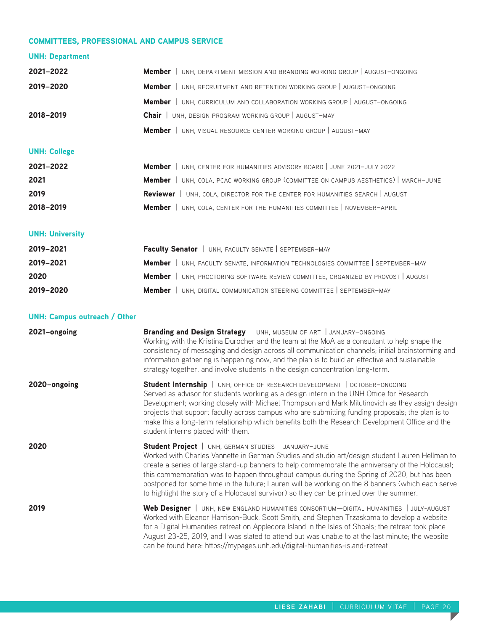## COMMITTEES, PROFESSIONAL AND CAMPUS SERVICE

# UNH: Department

| 2021-2022 | <b>Member</b>   UNH, DEPARTMENT MISSION AND BRANDING WORKING GROUP   AUGUST-ONGOING |
|-----------|-------------------------------------------------------------------------------------|
| 2019-2020 | <b>Member</b>   UNH, RECRUITMENT AND RETENTION WORKING GROUP   AUGUST-ONGOING       |
|           | Member   UNH, CURRICULUM AND COLLABORATION WORKING GROUP   AUGUST-ONGOING           |
| 2018-2019 | Chair   UNH, DESIGN PROGRAM WORKING GROUP   AUGUST-MAY                              |
|           | <b>Member</b>   UNH, VISUAL RESOURCE CENTER WORKING GROUP   AUGUST-MAY              |
|           |                                                                                     |

# UNH: College

| 2021-2022 | <b>Member</b>   UNH, CENTER FOR HUMANITIES ADVISORY BOARD   JUNE 2021-JULY 2022             |
|-----------|---------------------------------------------------------------------------------------------|
| 2021      | <b>Member</b>   UNH, COLA, PCAC WORKING GROUP (COMMITTEE ON CAMPUS AESTHETICS)   MARCH-JUNE |
| 2019      | <b>Reviewer</b>   UNH, COLA, DIRECTOR FOR THE CENTER FOR HUMANITIES SEARCH   AUGUST         |
| 2018-2019 | <b>Member</b>   UNH, COLA, CENTER FOR THE HUMANITIES COMMITTEE   NOVEMBER-APRIL             |

# UNH: University

| 2019-2021 | Faculty Senator   UNH, FACULTY SENATE   SEPTEMBER-MAY                                    |
|-----------|------------------------------------------------------------------------------------------|
| 2019-2021 | <b>Member</b>   UNH, FACULTY SENATE, INFORMATION TECHNOLOGIES COMMITTEE   SEPTEMBER-MAY  |
| 2020      | <b>Member</b>   UNH, PROCTORING SOFTWARE REVIEW COMMITTEE, ORGANIZED BY PROVOST   AUGUST |
| 2019-2020 | <b>Member</b>   UNH, DIGITAL COMMUNICATION STEERING COMMITTEE   SEPTEMBER-MAY            |

## UNH: Campus outreach / Other

| 2021-ongoing | Branding and Design Strategy   UNH, MUSEUM OF ART   JANUARY-ONGOING<br>Working with the Kristina Durocher and the team at the MoA as a consultant to help shape the<br>consistency of messaging and design across all communication channels; initial brainstorming and<br>information gathering is happening now, and the plan is to build an effective and sustainable<br>strategy together, and involve students in the design concentration long-term.                                                                                             |
|--------------|--------------------------------------------------------------------------------------------------------------------------------------------------------------------------------------------------------------------------------------------------------------------------------------------------------------------------------------------------------------------------------------------------------------------------------------------------------------------------------------------------------------------------------------------------------|
| 2020-ongoing | Student Internship   UNH, OFFICE OF RESEARCH DEVELOPMENT   OCTOBER-ONGOING<br>Served as advisor for students working as a design intern in the UNH Office for Research<br>Development; working closely with Michael Thompson and Mark Milutinovich as they assign design<br>projects that support faculty across campus who are submitting funding proposals; the plan is to<br>make this a long-term relationship which benefits both the Research Development Office and the<br>student interns placed with them.                                    |
| 2020         | Student Project   UNH, GERMAN STUDIES   JANUARY-JUNE<br>Worked with Charles Vannette in German Studies and studio art/design student Lauren Hellman to<br>create a series of large stand-up banners to help commemorate the anniversary of the Holocaust;<br>this commemoration was to happen throughout campus during the Spring of 2020, but has been<br>postponed for some time in the future; Lauren will be working on the 8 banners (which each serve<br>to highlight the story of a Holocaust survivor) so they can be printed over the summer. |
| 2019         | Web Designer   UNH, NEW ENGLAND HUMANITIES CONSORTIUM-DIGITAL HUMANITIES   JULY-AUGUST<br>Worked with Eleanor Harrison-Buck, Scott Smith, and Stephen Trzaskoma to develop a website<br>for a Digital Humanities retreat on Appledore Island in the Isles of Shoals; the retreat took place<br>August 23-25, 2019, and I was slated to attend but was unable to at the last minute; the website<br>can be found here: https://mypages.unh.edu/digital-humanities-island-retreat                                                                        |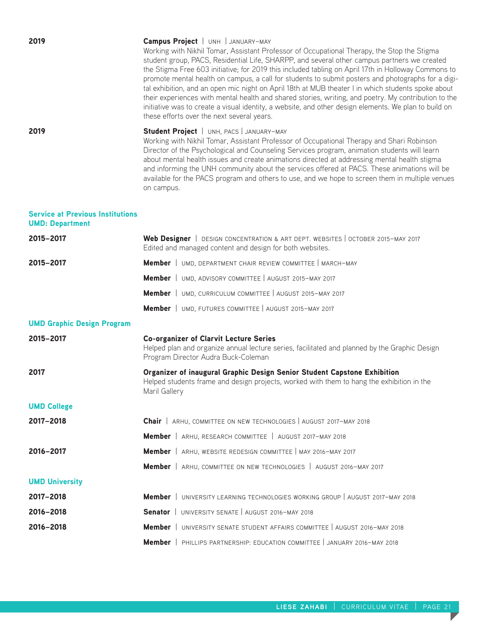| 2019                                                              | <b>Campus Project</b>   UNH   JANUARY-MAY<br>Working with Nikhil Tomar, Assistant Professor of Occupational Therapy, the Stop the Stigma<br>student group, PACS, Residential Life, SHARPP, and several other campus partners we created<br>the Stigma Free 603 initiative; for 2019 this included tabling on April 17th in Holloway Commons to<br>promote mental health on campus, a call for students to submit posters and photographs for a digi-<br>tal exhibition, and an open mic night on April 18th at MUB theater I in which students spoke about<br>their experiences with mental health and shared stories, writing, and poetry. My contribution to the<br>initiative was to create a visual identity, a website, and other design elements. We plan to build on<br>these efforts over the next several years. |
|-------------------------------------------------------------------|---------------------------------------------------------------------------------------------------------------------------------------------------------------------------------------------------------------------------------------------------------------------------------------------------------------------------------------------------------------------------------------------------------------------------------------------------------------------------------------------------------------------------------------------------------------------------------------------------------------------------------------------------------------------------------------------------------------------------------------------------------------------------------------------------------------------------|
| 2019                                                              | Student Project   UNH, PACS   JANUARY-MAY<br>Working with Nikhil Tomar, Assistant Professor of Occupational Therapy and Shari Robinson<br>Director of the Psychological and Counseling Services program, animation students will learn<br>about mental health issues and create animations directed at addressing mental health stigma<br>and informing the UNH community about the services offered at PACS. These animations will be<br>available for the PACS program and others to use, and we hope to screen them in multiple venues<br>on campus.                                                                                                                                                                                                                                                                   |
| <b>Service at Previous Institutions</b><br><b>UMD: Department</b> |                                                                                                                                                                                                                                                                                                                                                                                                                                                                                                                                                                                                                                                                                                                                                                                                                           |
| 2015-2017                                                         | Web Designer   DESIGN CONCENTRATION & ART DEPT. WEBSITES   OCTOBER 2015-MAY 2017<br>Edited and managed content and design for both websites.                                                                                                                                                                                                                                                                                                                                                                                                                                                                                                                                                                                                                                                                              |
| 2015-2017                                                         | <b>Member</b>   UMD, DEPARTMENT CHAIR REVIEW COMMITTEE   MARCH-MAY                                                                                                                                                                                                                                                                                                                                                                                                                                                                                                                                                                                                                                                                                                                                                        |
|                                                                   | Member   UMD, ADVISORY COMMITTEE   AUGUST 2015-MAY 2017                                                                                                                                                                                                                                                                                                                                                                                                                                                                                                                                                                                                                                                                                                                                                                   |
|                                                                   | Member   UMD, CURRICULUM COMMITTEE   AUGUST 2015-MAY 2017                                                                                                                                                                                                                                                                                                                                                                                                                                                                                                                                                                                                                                                                                                                                                                 |
|                                                                   | Member   UMD, FUTURES COMMITTEE   AUGUST 2015-MAY 2017                                                                                                                                                                                                                                                                                                                                                                                                                                                                                                                                                                                                                                                                                                                                                                    |
| <b>UMD Graphic Design Program</b>                                 |                                                                                                                                                                                                                                                                                                                                                                                                                                                                                                                                                                                                                                                                                                                                                                                                                           |
| 2015-2017                                                         | <b>Co-organizer of Clarvit Lecture Series</b><br>Helped plan and organize annual lecture series, facilitated and planned by the Graphic Design<br>Program Director Audra Buck-Coleman                                                                                                                                                                                                                                                                                                                                                                                                                                                                                                                                                                                                                                     |
| 2017                                                              | Organizer of inaugural Graphic Design Senior Student Capstone Exhibition<br>Helped students frame and design projects, worked with them to hang the exhibition in the<br>Maril Gallery                                                                                                                                                                                                                                                                                                                                                                                                                                                                                                                                                                                                                                    |
| <b>UMD College</b>                                                |                                                                                                                                                                                                                                                                                                                                                                                                                                                                                                                                                                                                                                                                                                                                                                                                                           |
| 2017-2018                                                         | Chair   ARHU, COMMITTEE ON NEW TECHNOLOGIES   AUGUST 2017-MAY 2018                                                                                                                                                                                                                                                                                                                                                                                                                                                                                                                                                                                                                                                                                                                                                        |
|                                                                   | Member   ARHU, RESEARCH COMMITTEE   AUGUST 2017-MAY 2018                                                                                                                                                                                                                                                                                                                                                                                                                                                                                                                                                                                                                                                                                                                                                                  |
| 2016-2017                                                         | Member   ARHU, WEBSITE REDESIGN COMMITTEE   MAY 2016-MAY 2017                                                                                                                                                                                                                                                                                                                                                                                                                                                                                                                                                                                                                                                                                                                                                             |
|                                                                   | <b>Member</b>   ARHU, COMMITTEE ON NEW TECHNOLOGIES   AUGUST 2016-MAY 2017                                                                                                                                                                                                                                                                                                                                                                                                                                                                                                                                                                                                                                                                                                                                                |
| <b>UMD University</b>                                             |                                                                                                                                                                                                                                                                                                                                                                                                                                                                                                                                                                                                                                                                                                                                                                                                                           |
| 2017-2018                                                         | UNIVERSITY LEARNING TECHNOLOGIES WORKING GROUP   AUGUST 2017-MAY 2018<br><b>Member</b>                                                                                                                                                                                                                                                                                                                                                                                                                                                                                                                                                                                                                                                                                                                                    |
| 2016-2018                                                         | Senator   UNIVERSITY SENATE   AUGUST 2016-MAY 2018                                                                                                                                                                                                                                                                                                                                                                                                                                                                                                                                                                                                                                                                                                                                                                        |
| 2016-2018                                                         | Member   UNIVERSITY SENATE STUDENT AFFAIRS COMMITTEE   AUGUST 2016-MAY 2018                                                                                                                                                                                                                                                                                                                                                                                                                                                                                                                                                                                                                                                                                                                                               |
|                                                                   | <b>Member</b>   PHILLIPS PARTNERSHIP: EDUCATION COMMITTEE   JANUARY 2016-MAY 2018                                                                                                                                                                                                                                                                                                                                                                                                                                                                                                                                                                                                                                                                                                                                         |

 $\overline{\phantom{a}}$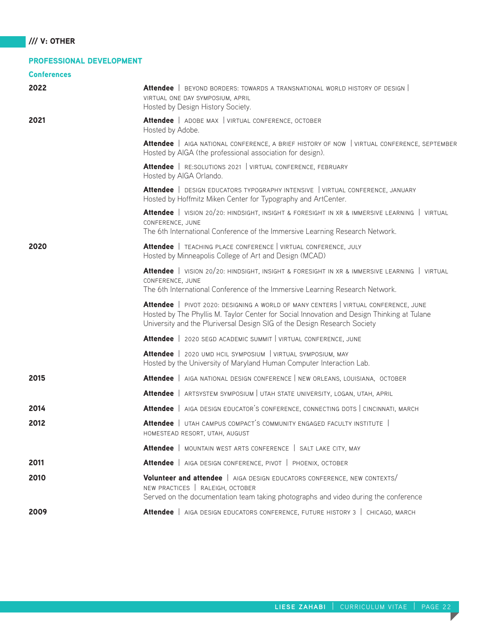## PROFESSIONAL DEVELOPMENT

| <b>Conferences</b> |                                                                                                                                                                                                                                                               |
|--------------------|---------------------------------------------------------------------------------------------------------------------------------------------------------------------------------------------------------------------------------------------------------------|
| 2022               | <b>Attendee</b>   BEYOND BORDERS: TOWARDS A TRANSNATIONAL WORLD HISTORY OF DESIGN  <br>VIRTUAL ONE DAY SYMPOSIUM, APRIL<br>Hosted by Design History Society.                                                                                                  |
| 2021               | Attendee   ADOBE MAX   VIRTUAL CONFERENCE, OCTOBER<br>Hosted by Adobe.                                                                                                                                                                                        |
|                    | Attendee   AIGA NATIONAL CONFERENCE, A BRIEF HISTORY OF NOW   VIRTUAL CONFERENCE, SEPTEMBER<br>Hosted by AIGA (the professional association for design).                                                                                                      |
|                    | Attendee   RE:SOLUTIONS 2021   VIRTUAL CONFERENCE, FEBRUARY<br>Hosted by AIGA Orlando.                                                                                                                                                                        |
|                    | Attendee   DESIGN EDUCATORS TYPOGRAPHY INTENSIVE   VIRTUAL CONFERENCE, JANUARY<br>Hosted by Hoffmitz Miken Center for Typography and ArtCenter.                                                                                                               |
|                    | Attendee   VISION 20/20: HINDSIGHT, INSIGHT & FORESIGHT IN XR & IMMERSIVE LEARNING   VIRTUAL<br>CONFERENCE, JUNE<br>The 6th International Conference of the Immersive Learning Research Network.                                                              |
| 2020               | Attendee   TEACHING PLACE CONFERENCE   VIRTUAL CONFERENCE, JULY<br>Hosted by Minneapolis College of Art and Design (MCAD)                                                                                                                                     |
|                    | Attendee   VISION 20/20: HINDSIGHT, INSIGHT & FORESIGHT IN XR & IMMERSIVE LEARNING   VIRTUAL<br>CONFERENCE, JUNE<br>The 6th International Conference of the Immersive Learning Research Network.                                                              |
|                    | Attendee   PIVOT 2020: DESIGNING A WORLD OF MANY CENTERS   VIRTUAL CONFERENCE, JUNE<br>Hosted by The Phyllis M. Taylor Center for Social Innovation and Design Thinking at Tulane<br>University and the Pluriversal Design SIG of the Design Research Society |
|                    | Attendee   2020 SEGD ACADEMIC SUMMIT   VIRTUAL CONFERENCE, JUNE                                                                                                                                                                                               |
|                    | Attendee   2020 UMD HCIL SYMPOSIUM   VIRTUAL SYMPOSIUM, MAY<br>Hosted by the University of Maryland Human Computer Interaction Lab.                                                                                                                           |
| 2015               | Attendee   AIGA NATIONAL DESIGN CONFERENCE   NEW ORLEANS, LOUISIANA, OCTOBER                                                                                                                                                                                  |
|                    | Attendee   ARTSYSTEM SYMPOSIUM   UTAH STATE UNIVERSITY, LOGAN, UTAH, APRIL                                                                                                                                                                                    |
| 2014               | Attendee   AIGA DESIGN EDUCATOR'S CONFERENCE, CONNECTING DOTS   CINCINNATI, MARCH                                                                                                                                                                             |
| 2012               | Attendee   UTAH CAMPUS COMPACT'S COMMUNITY ENGAGED FACULTY INSTITUTE  <br>HOMESTEAD RESORT, UTAH, AUGUST                                                                                                                                                      |
|                    | Attendee   MOUNTAIN WEST ARTS CONFERENCE   SALT LAKE CITY, MAY                                                                                                                                                                                                |
| 2011               | Attendee   AIGA DESIGN CONFERENCE, PIVOT   PHOENIX, OCTOBER                                                                                                                                                                                                   |
| 2010               | Volunteer and attendee   AIGA DESIGN EDUCATORS CONFERENCE, NEW CONTEXTS/<br>NEW PRACTICES   RALEIGH, OCTOBER<br>Served on the documentation team taking photographs and video during the conference                                                           |
| 2009               | Attendee   AIGA DESIGN EDUCATORS CONFERENCE, FUTURE HISTORY 3   CHICAGO, MARCH                                                                                                                                                                                |

Г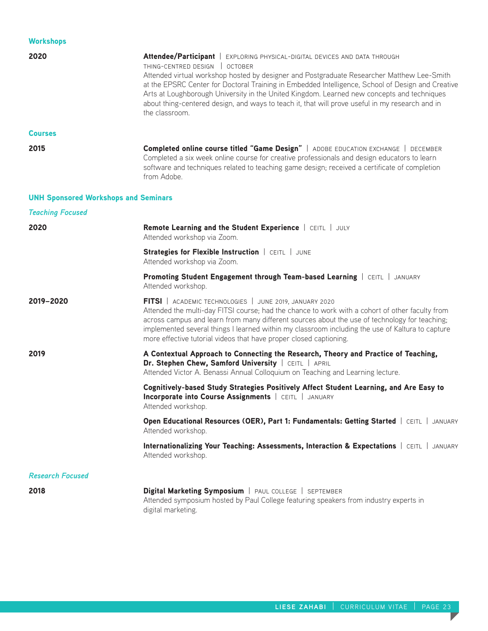| <b>Workshops</b>                            |                                                                                                                                                                                                                                                                                                                                                                                                                                                                                                                                    |
|---------------------------------------------|------------------------------------------------------------------------------------------------------------------------------------------------------------------------------------------------------------------------------------------------------------------------------------------------------------------------------------------------------------------------------------------------------------------------------------------------------------------------------------------------------------------------------------|
| 2020                                        | Attendee/Participant   EXPLORING PHYSICAL-DIGITAL DEVICES AND DATA THROUGH<br>THING-CENTRED DESIGN   OCTOBER<br>Attended virtual workshop hosted by designer and Postgraduate Researcher Matthew Lee-Smith<br>at the EPSRC Center for Doctoral Training in Embedded Intelligence, School of Design and Creative<br>Arts at Loughborough University in the United Kingdom. Learned new concepts and techniques<br>about thing-centered design, and ways to teach it, that will prove useful in my research and in<br>the classroom. |
| <b>Courses</b>                              |                                                                                                                                                                                                                                                                                                                                                                                                                                                                                                                                    |
| 2015                                        | Completed online course titled "Game Design"   ADOBE EDUCATION EXCHANGE   DECEMBER<br>Completed a six week online course for creative professionals and design educators to learn<br>software and techniques related to teaching game design; received a certificate of completion<br>from Adobe.                                                                                                                                                                                                                                  |
| <b>UNH Sponsored Workshops and Seminars</b> |                                                                                                                                                                                                                                                                                                                                                                                                                                                                                                                                    |
| <b>Teaching Focused</b>                     |                                                                                                                                                                                                                                                                                                                                                                                                                                                                                                                                    |
| 2020                                        | Remote Learning and the Student Experience   CEITL   JULY<br>Attended workshop via Zoom.                                                                                                                                                                                                                                                                                                                                                                                                                                           |
|                                             | Strategies for Flexible Instruction   CEITL   JUNE<br>Attended workshop via Zoom.                                                                                                                                                                                                                                                                                                                                                                                                                                                  |
|                                             | Promoting Student Engagement through Team-based Learning   CEITL   JANUARY<br>Attended workshop.                                                                                                                                                                                                                                                                                                                                                                                                                                   |
| 2019-2020                                   | FITSI   ACADEMIC TECHNOLOGIES   JUNE 2019, JANUARY 2020<br>Attended the multi-day FITSI course; had the chance to work with a cohort of other faculty from<br>across campus and learn from many different sources about the use of technology for teaching;<br>implemented several things I learned within my classroom including the use of Kaltura to capture<br>more effective tutorial videos that have proper closed captioning.                                                                                              |
| 2019                                        | A Contextual Approach to Connecting the Research, Theory and Practice of Teaching,<br>Dr. Stephen Chew, Samford University   CEITL   APRIL<br>Attended Victor A. Benassi Annual Colloquium on Teaching and Learning lecture.                                                                                                                                                                                                                                                                                                       |
|                                             | Cognitively-based Study Strategies Positively Affect Student Learning, and Are Easy to<br>Incorporate into Course Assignments   CEITL   JANUARY<br>Attended workshop.                                                                                                                                                                                                                                                                                                                                                              |
|                                             | Open Educational Resources (OER), Part 1: Fundamentals: Getting Started   CEITL   JANUARY<br>Attended workshop.                                                                                                                                                                                                                                                                                                                                                                                                                    |
|                                             | Internationalizing Your Teaching: Assessments, Interaction & Expectations   CEITL   JANUARY<br>Attended workshop.                                                                                                                                                                                                                                                                                                                                                                                                                  |
| <b>Research Focused</b>                     |                                                                                                                                                                                                                                                                                                                                                                                                                                                                                                                                    |
| 2018                                        | Digital Marketing Symposium   PAUL COLLEGE   SEPTEMBER<br>Attended symposium hosted by Paul College featuring speakers from industry experts in<br>digital marketing.                                                                                                                                                                                                                                                                                                                                                              |